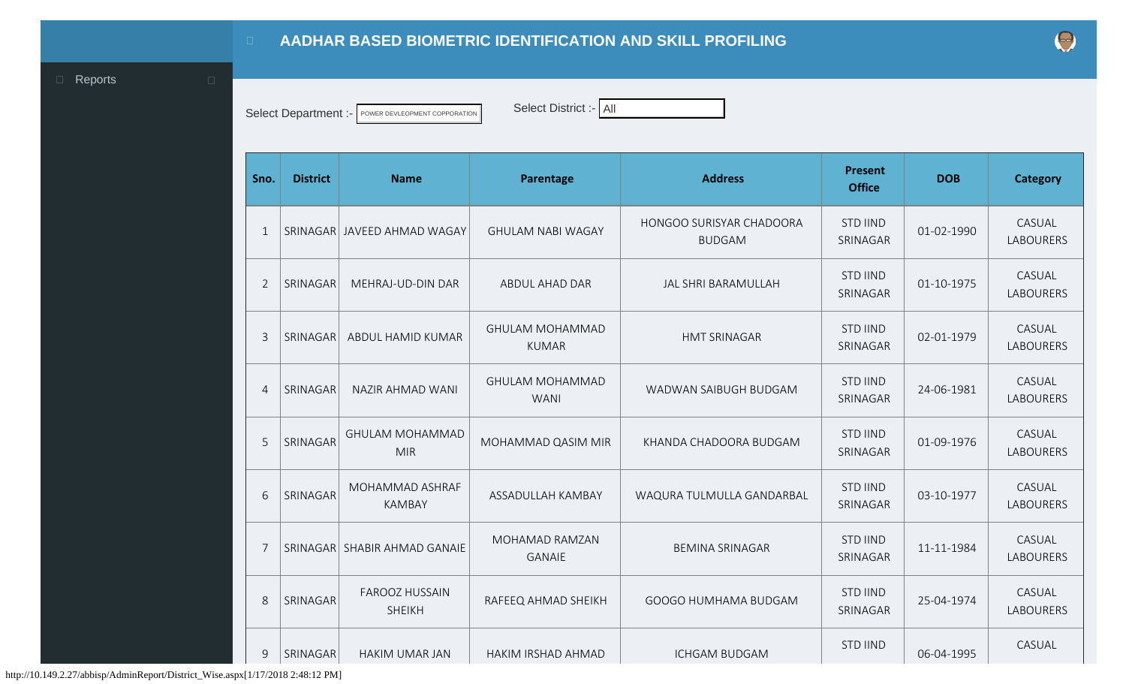## **AADHAR BASED BIOMETRIC IDENTIFICATION AND SKILL PROFILING**

<span id="page-0-0"></span>**D** [Reports](#page-0-0) **D** 

Select Department :- POWER DEVLEOPMENT COPPORATION **Select District :-** All

| Sno.           | <b>District</b> | <b>Name</b>                            | <b>Parentage</b>                       | <b>Address</b>                            | <b>Present</b><br><b>Office</b> | <b>DOB</b> | <b>Category</b>                   |
|----------------|-----------------|----------------------------------------|----------------------------------------|-------------------------------------------|---------------------------------|------------|-----------------------------------|
| $\mathbf{1}$   |                 | SRINAGAR JAVEED AHMAD WAGAY            | <b>GHULAM NABI WAGAY</b>               | HONGOO SURISYAR CHADOORA<br><b>BUDGAM</b> | <b>STD IIND</b><br>SRINAGAR     | 01-02-1990 | CASUAL<br><b>LABOURERS</b>        |
| 2              | SRINAGAR        | MEHRAJ-UD-DIN DAR                      | ABDUL AHAD DAR                         | JAL SHRI BARAMULLAH                       | <b>STD IIND</b><br>SRINAGAR     | 01-10-1975 | CASUAL<br><b>LABOURERS</b>        |
| $\overline{3}$ | SRINAGAR        | ABDUL HAMID KUMAR                      | <b>GHULAM MOHAMMAD</b><br><b>KUMAR</b> | <b>HMT SRINAGAR</b>                       | <b>STD IIND</b><br>SRINAGAR     | 02-01-1979 | CASUAL<br><b>LABOURERS</b>        |
| $\overline{4}$ | SRINAGAR        | NAZIR AHMAD WANI                       | <b>GHULAM MOHAMMAD</b><br><b>WANI</b>  | WADWAN SAIBUGH BUDGAM                     | <b>STD IIND</b><br>SRINAGAR     | 24-06-1981 | CASUAL<br><b>LABOURERS</b>        |
| 5              | SRINAGAR        | <b>GHULAM MOHAMMAD</b><br><b>MIR</b>   | MOHAMMAD QASIM MIR                     | KHANDA CHADOORA BUDGAM                    | <b>STD IIND</b><br>SRINAGAR     | 01-09-1976 | CASUAL<br><b>LABOURERS</b>        |
| 6              | SRINAGAR        | MOHAMMAD ASHRAF<br><b>KAMBAY</b>       | ASSADULLAH KAMBAY                      | WAQURA TULMULLA GANDARBAL                 | <b>STD IIND</b><br>SRINAGAR     | 03-10-1977 | CASUAL<br><b>LABOURERS</b>        |
| 7              |                 | SRINAGAR SHABIR AHMAD GANAIE           | MOHAMAD RAMZAN<br><b>GANAIE</b>        | <b>BEMINA SRINAGAR</b>                    | <b>STD IIND</b><br>SRINAGAR     | 11-11-1984 | CASUAL<br><b>LABOURERS</b>        |
| 8              | SRINAGAR        | <b>FAROOZ HUSSAIN</b><br><b>SHEIKH</b> | RAFEEQ AHMAD SHEIKH                    | GOOGO HUMHAMA BUDGAM                      | <b>STD IIND</b><br>SRINAGAR     | 25-04-1974 | <b>CASUAL</b><br><b>LABOURERS</b> |
| 9              | SRINAGAR        | <b>HAKIM UMAR JAN</b>                  | HAKIM IRSHAD AHMAD                     | <b>ICHGAM BUDGAM</b>                      | <b>STD IIND</b>                 | 06-04-1995 | CASUAL                            |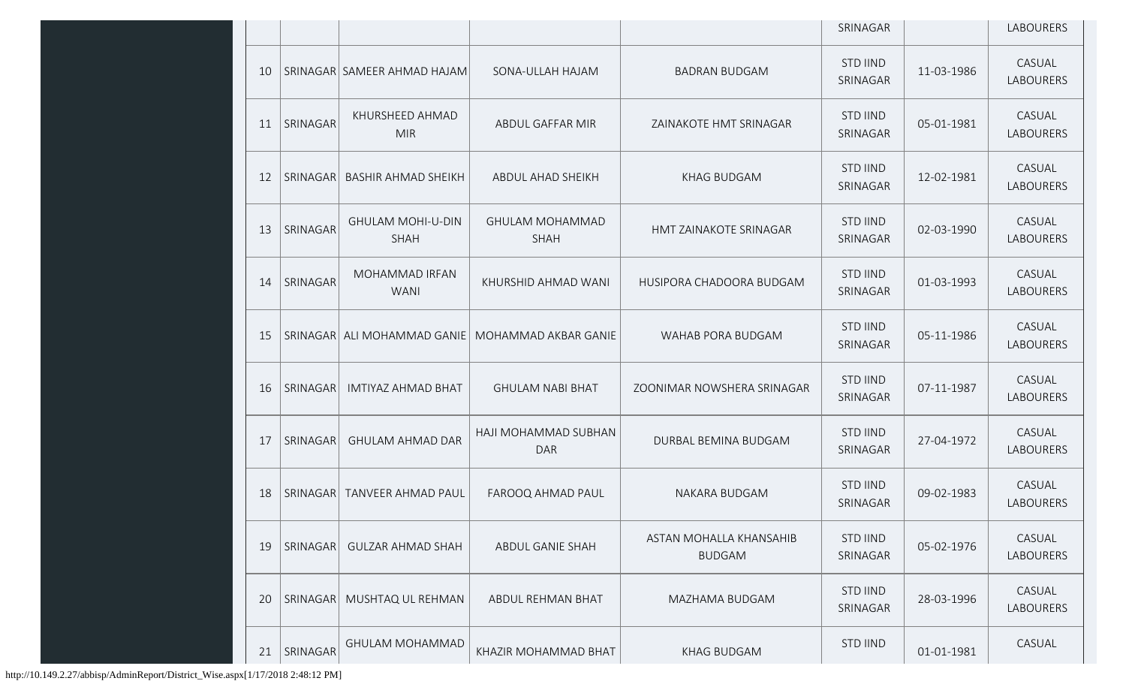|    |          |                                         |                                       |                                          | SRINAGAR                    |            | <b>LABOURERS</b>           |
|----|----------|-----------------------------------------|---------------------------------------|------------------------------------------|-----------------------------|------------|----------------------------|
| 10 |          | SRINAGAR   SAMEER AHMAD HAJAM           | SONA-ULLAH HAJAM                      | <b>BADRAN BUDGAM</b>                     | <b>STD IIND</b><br>SRINAGAR | 11-03-1986 | CASUAL<br><b>LABOURERS</b> |
| 11 | SRINAGAR | KHURSHEED AHMAD<br><b>MIR</b>           | ABDUL GAFFAR MIR                      | ZAINAKOTE HMT SRINAGAR                   | <b>STD IIND</b><br>SRINAGAR | 05-01-1981 | CASUAL<br><b>LABOURERS</b> |
| 12 | SRINAGAR | <b>BASHIR AHMAD SHEIKH</b>              | ABDUL AHAD SHEIKH                     | <b>KHAG BUDGAM</b>                       | <b>STD IIND</b><br>SRINAGAR | 12-02-1981 | CASUAL<br>LABOURERS        |
| 13 | SRINAGAR | <b>GHULAM MOHI-U-DIN</b><br><b>SHAH</b> | <b>GHULAM MOHAMMAD</b><br><b>SHAH</b> | HMT ZAINAKOTE SRINAGAR                   | <b>STD IIND</b><br>SRINAGAR | 02-03-1990 | CASUAL<br><b>LABOURERS</b> |
| 14 | SRINAGAR | <b>MOHAMMAD IRFAN</b><br><b>WANI</b>    | KHURSHID AHMAD WANI                   | HUSIPORA CHADOORA BUDGAM                 | <b>STD IIND</b><br>SRINAGAR | 01-03-1993 | CASUAL<br><b>LABOURERS</b> |
| 15 |          | SRINAGAR   ALI MOHAMMAD GANIE           | MOHAMMAD AKBAR GANIE                  | WAHAB PORA BUDGAM                        | <b>STD IIND</b><br>SRINAGAR | 05-11-1986 | CASUAL<br><b>LABOURERS</b> |
| 16 | SRINAGAR | <b>IMTIYAZ AHMAD BHAT</b>               | <b>GHULAM NABI BHAT</b>               | ZOONIMAR NOWSHERA SRINAGAR               | <b>STD IIND</b><br>SRINAGAR | 07-11-1987 | CASUAL<br><b>LABOURERS</b> |
| 17 | SRINAGAR | <b>GHULAM AHMAD DAR</b>                 | HAJI MOHAMMAD SUBHAN<br><b>DAR</b>    | DURBAL BEMINA BUDGAM                     | <b>STD IIND</b><br>SRINAGAR | 27-04-1972 | CASUAL<br><b>LABOURERS</b> |
| 18 | SRINAGAR | TANVEER AHMAD PAUL                      | FAROOQ AHMAD PAUL                     | <b>NAKARA BUDGAM</b>                     | <b>STD IIND</b><br>SRINAGAR | 09-02-1983 | CASUAL<br><b>LABOURERS</b> |
| 19 | SRINAGAR | <b>GULZAR AHMAD SHAH</b>                | ABDUL GANIE SHAH                      | ASTAN MOHALLA KHANSAHIB<br><b>BUDGAM</b> | <b>STD IIND</b><br>SRINAGAR | 05-02-1976 | CASUAL<br>LABOURERS        |
| 20 | SRINAGAR | MUSHTAQ UL REHMAN                       | ABDUL REHMAN BHAT                     | MAZHAMA BUDGAM                           | <b>STD IIND</b><br>SRINAGAR | 28-03-1996 | CASUAL<br>LABOURERS        |
| 21 | SRINAGAR | GHULAM MOHAMMAD                         | KHAZIR MOHAMMAD BHAT                  | KHAG BUDGAM                              | <b>STD IIND</b>             | 01-01-1981 | CASUAL                     |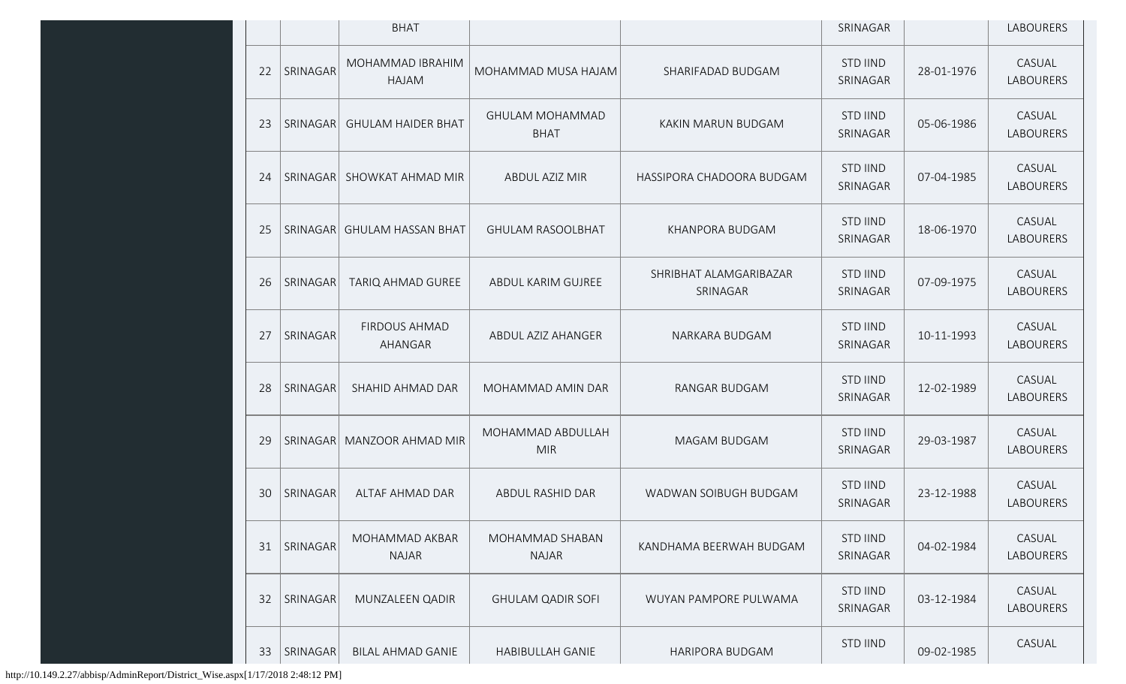|    |          | <b>BHAT</b>                     |                                       |                                    | SRINAGAR                    |            | <b>LABOURERS</b>           |
|----|----------|---------------------------------|---------------------------------------|------------------------------------|-----------------------------|------------|----------------------------|
| 22 | SRINAGAR | MOHAMMAD IBRAHIM<br>HAJAM       | MOHAMMAD MUSA HAJAM                   | SHARIFADAD BUDGAM                  | <b>STD IIND</b><br>SRINAGAR | 28-01-1976 | CASUAL<br><b>LABOURERS</b> |
| 23 | SRINAGAR | <b>GHULAM HAIDER BHAT</b>       | <b>GHULAM MOHAMMAD</b><br><b>BHAT</b> | KAKIN MARUN BUDGAM                 | <b>STD IIND</b><br>SRINAGAR | 05-06-1986 | CASUAL<br><b>LABOURERS</b> |
| 24 | SRINAGAR | SHOWKAT AHMAD MIR               | ABDUL AZIZ MIR                        | HASSIPORA CHADOORA BUDGAM          | <b>STD IIND</b><br>SRINAGAR | 07-04-1985 | CASUAL<br><b>LABOURERS</b> |
| 25 | SRINAGAR | <b>GHULAM HASSAN BHAT</b>       | <b>GHULAM RASOOLBHAT</b>              | KHANPORA BUDGAM                    | <b>STD IIND</b><br>SRINAGAR | 18-06-1970 | CASUAL<br><b>LABOURERS</b> |
| 26 | SRINAGAR | TARIQ AHMAD GUREE               | ABDUL KARIM GUJREE                    | SHRIBHAT ALAMGARIBAZAR<br>SRINAGAR | <b>STD IIND</b><br>SRINAGAR | 07-09-1975 | CASUAL<br><b>LABOURERS</b> |
| 27 | SRINAGAR | <b>FIRDOUS AHMAD</b><br>AHANGAR | ABDUL AZIZ AHANGER                    | NARKARA BUDGAM                     | <b>STD IIND</b><br>SRINAGAR | 10-11-1993 | CASUAL<br><b>LABOURERS</b> |
| 28 | SRINAGAR | SHAHID AHMAD DAR                | MOHAMMAD AMIN DAR                     | RANGAR BUDGAM                      | <b>STD IIND</b><br>SRINAGAR | 12-02-1989 | CASUAL<br><b>LABOURERS</b> |
| 29 | SRINAGAR | MANZOOR AHMAD MIR               | MOHAMMAD ABDULLAH<br><b>MIR</b>       | MAGAM BUDGAM                       | <b>STD IIND</b><br>SRINAGAR | 29-03-1987 | CASUAL<br><b>LABOURERS</b> |
| 30 | SRINAGAR | ALTAF AHMAD DAR                 | ABDUL RASHID DAR                      | WADWAN SOIBUGH BUDGAM              | <b>STD IIND</b><br>SRINAGAR | 23-12-1988 | CASUAL<br><b>LABOURERS</b> |
| 31 | SRINAGAR | MOHAMMAD AKBAR<br><b>NAJAR</b>  | MOHAMMAD SHABAN<br><b>NAJAR</b>       | KANDHAMA BEERWAH BUDGAM            | <b>STD IIND</b><br>SRINAGAR | 04-02-1984 | CASUAL<br>LABOURERS        |
| 32 | SRINAGAR | MUNZALEEN QADIR                 | <b>GHULAM QADIR SOFI</b>              | WUYAN PAMPORE PULWAMA              | <b>STD IIND</b><br>SRINAGAR | 03-12-1984 | CASUAL<br><b>LABOURERS</b> |
| 33 | SRINAGAR | <b>BILAL AHMAD GANIE</b>        | <b>HABIBULLAH GANIE</b>               | <b>HARIPORA BUDGAM</b>             | <b>STD IIND</b>             | 09-02-1985 | CASUAL                     |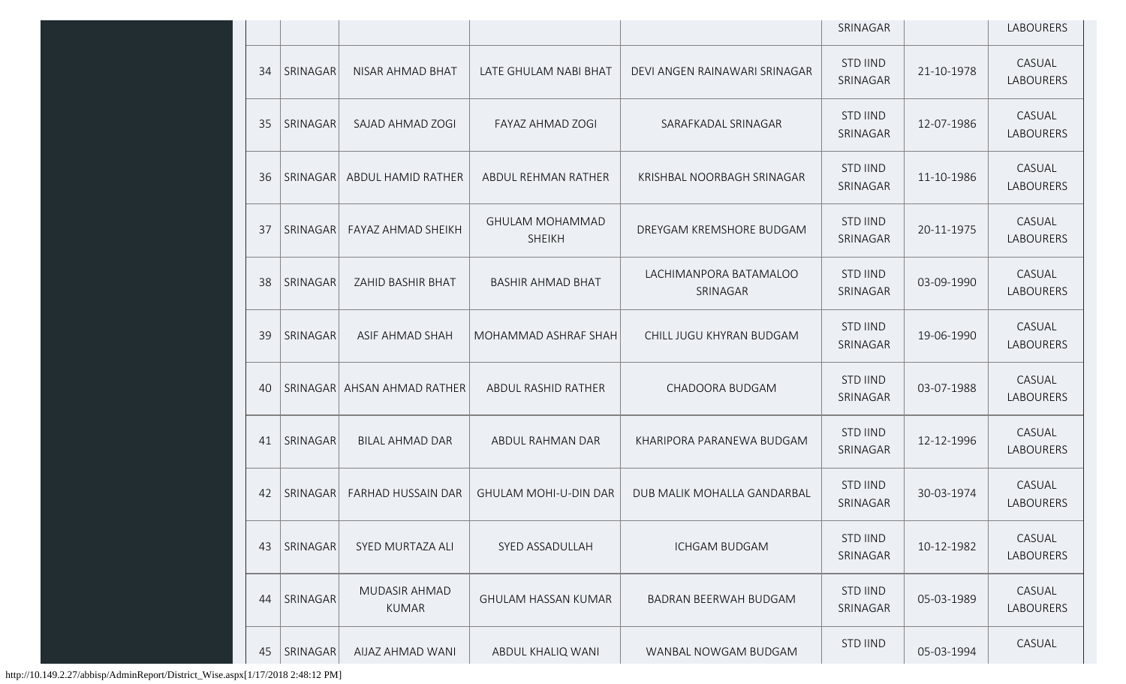|    |                 |                                      |                                         |                                    | SRINAGAR                    |            | <b>LABOURERS</b>           |
|----|-----------------|--------------------------------------|-----------------------------------------|------------------------------------|-----------------------------|------------|----------------------------|
| 34 | SRINAGAR        | NISAR AHMAD BHAT                     | LATE GHULAM NABI BHAT                   | DEVI ANGEN RAINAWARI SRINAGAR      | <b>STD IIND</b><br>SRINAGAR | 21-10-1978 | CASUAL<br><b>LABOURERS</b> |
| 35 | <b>SRINAGAR</b> | SAJAD AHMAD ZOGI                     | FAYAZ AHMAD ZOGI                        | SARAFKADAL SRINAGAR                | <b>STD IIND</b><br>SRINAGAR | 12-07-1986 | CASUAL<br><b>LABOURERS</b> |
| 36 | SRINAGAR        | ABDUL HAMID RATHER                   | ABDUL REHMAN RATHER                     | KRISHBAL NOORBAGH SRINAGAR         | <b>STD IIND</b><br>SRINAGAR | 11-10-1986 | CASUAL<br><b>LABOURERS</b> |
| 37 | SRINAGAR        | FAYAZ AHMAD SHEIKH                   | <b>GHULAM MOHAMMAD</b><br><b>SHEIKH</b> | DREYGAM KREMSHORE BUDGAM           | <b>STD IIND</b><br>SRINAGAR | 20-11-1975 | CASUAL<br>LABOURERS        |
| 38 | SRINAGAR        | ZAHID BASHIR BHAT                    | <b>BASHIR AHMAD BHAT</b>                | LACHIMANPORA BATAMALOO<br>SRINAGAR | <b>STD IIND</b><br>SRINAGAR | 03-09-1990 | CASUAL<br><b>LABOURERS</b> |
| 39 | SRINAGAR        | ASIF AHMAD SHAH                      | MOHAMMAD ASHRAF SHAH                    | CHILL JUGU KHYRAN BUDGAM           | <b>STD IIND</b><br>SRINAGAR | 19-06-1990 | CASUAL<br><b>LABOURERS</b> |
| 40 | SRINAGAR        | AHSAN AHMAD RATHER                   | ABDUL RASHID RATHER                     | CHADOORA BUDGAM                    | <b>STD IIND</b><br>SRINAGAR | 03-07-1988 | CASUAL<br><b>LABOURERS</b> |
| 41 | SRINAGAR        | <b>BILAL AHMAD DAR</b>               | ABDUL RAHMAN DAR                        | KHARIPORA PARANEWA BUDGAM          | <b>STD IIND</b><br>SRINAGAR | 12-12-1996 | CASUAL<br><b>LABOURERS</b> |
| 42 | SRINAGAR        | <b>FARHAD HUSSAIN DAR</b>            | <b>GHULAM MOHI-U-DIN DAR</b>            | DUB MALIK MOHALLA GANDARBAL        | <b>STD IIND</b><br>SRINAGAR | 30-03-1974 | CASUAL<br><b>LABOURERS</b> |
| 43 | SRINAGAR        | SYED MURTAZA ALI                     | SYED ASSADULLAH                         | <b>ICHGAM BUDGAM</b>               | <b>STD IIND</b><br>SRINAGAR | 10-12-1982 | CASUAL<br>LABOURERS        |
| 44 | SRINAGAR        | <b>MUDASIR AHMAD</b><br><b>KUMAR</b> | <b>GHULAM HASSAN KUMAR</b>              | BADRAN BEERWAH BUDGAM              | <b>STD IIND</b><br>SRINAGAR | 05-03-1989 | CASUAL<br>LABOURERS        |
| 45 | SRINAGAR        | AIJAZ AHMAD WANI                     | ABDUL KHALIQ WANI                       | WANBAL NOWGAM BUDGAM               | <b>STD IIND</b>             | 05-03-1994 | CASUAL                     |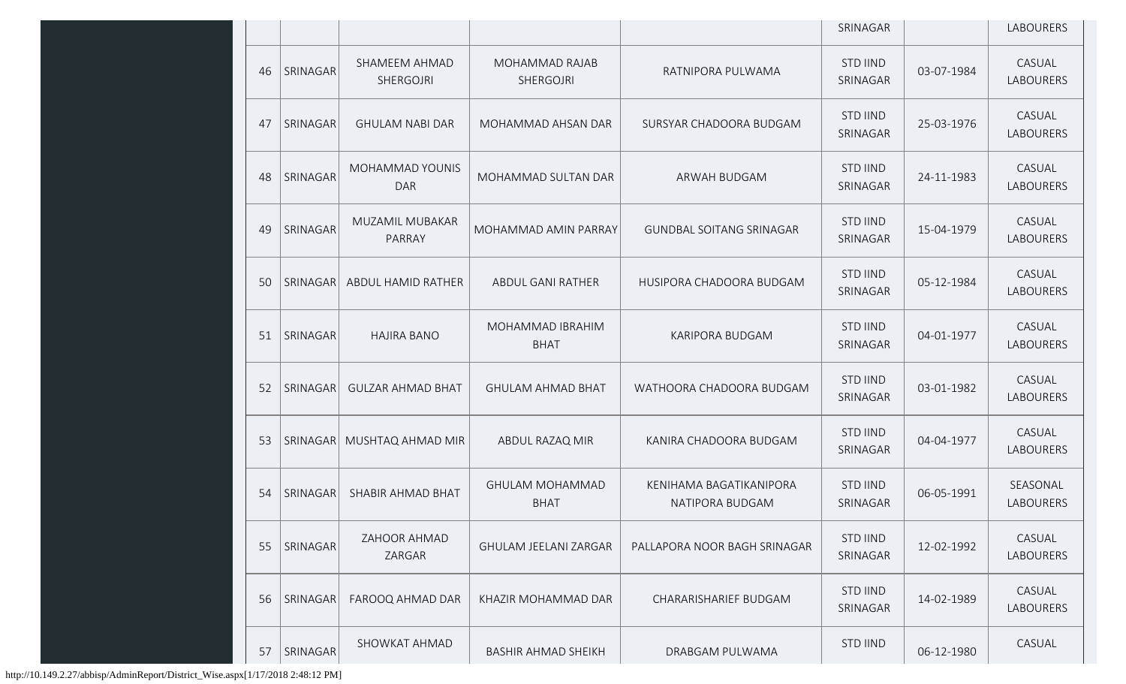|    |          |                               |                                 |                                            | SRINAGAR                    |            | <b>LABOURERS</b>             |
|----|----------|-------------------------------|---------------------------------|--------------------------------------------|-----------------------------|------------|------------------------------|
| 46 | SRINAGAR | SHAMEEM AHMAD<br>SHERGOJRI    | MOHAMMAD RAJAB<br>SHERGOJRI     | RATNIPORA PULWAMA                          | <b>STD IIND</b><br>SRINAGAR | 03-07-1984 | CASUAL<br><b>LABOURERS</b>   |
| 47 | SRINAGAR | <b>GHULAM NABI DAR</b>        | MOHAMMAD AHSAN DAR              | SURSYAR CHADOORA BUDGAM                    | <b>STD IIND</b><br>SRINAGAR | 25-03-1976 | CASUAL<br><b>LABOURERS</b>   |
| 48 | SRINAGAR | MOHAMMAD YOUNIS<br><b>DAR</b> | MOHAMMAD SULTAN DAR             | ARWAH BUDGAM                               | <b>STD IIND</b><br>SRINAGAR | 24-11-1983 | CASUAL<br><b>LABOURERS</b>   |
| 49 | SRINAGAR | MUZAMIL MUBAKAR<br>PARRAY     | MOHAMMAD AMIN PARRAY            | <b>GUNDBAL SOITANG SRINAGAR</b>            | <b>STD IIND</b><br>SRINAGAR | 15-04-1979 | CASUAL<br><b>LABOURERS</b>   |
| 50 | SRINAGAR | ABDUL HAMID RATHER            | ABDUL GANI RATHER               | HUSIPORA CHADOORA BUDGAM                   | <b>STD IIND</b><br>SRINAGAR | 05-12-1984 | CASUAL<br>LABOURERS          |
| 51 | SRINAGAR | <b>HAJIRA BANO</b>            | MOHAMMAD IBRAHIM<br><b>BHAT</b> | KARIPORA BUDGAM                            | <b>STD IIND</b><br>SRINAGAR | 04-01-1977 | CASUAL<br><b>LABOURERS</b>   |
| 52 | SRINAGAR | <b>GULZAR AHMAD BHAT</b>      | <b>GHULAM AHMAD BHAT</b>        | WATHOORA CHADOORA BUDGAM                   | <b>STD IIND</b><br>SRINAGAR | 03-01-1982 | CASUAL<br><b>LABOURERS</b>   |
| 53 | SRINAGAR | MUSHTAQ AHMAD MIR             | ABDUL RAZAQ MIR                 | KANIRA CHADOORA BUDGAM                     | <b>STD IIND</b><br>SRINAGAR | 04-04-1977 | CASUAL<br><b>LABOURERS</b>   |
| 54 | SRINAGAR | SHABIR AHMAD BHAT             | GHULAM MOHAMMAD<br><b>BHAT</b>  | KENIHAMA BAGATIKANIPORA<br>NATIPORA BUDGAM | <b>STD IIND</b><br>SRINAGAR | 06-05-1991 | SEASONAL<br><b>LABOURERS</b> |
| 55 | SRINAGAR | ZAHOOR AHMAD<br>ZARGAR        | GHULAM JEELANI ZARGAR           | PALLAPORA NOOR BAGH SRINAGAR               | <b>STD IIND</b><br>SRINAGAR | 12-02-1992 | CASUAL<br>LABOURERS          |
| 56 | SRINAGAR | FAROOQ AHMAD DAR              | KHAZIR MOHAMMAD DAR             | CHARARISHARIEF BUDGAM                      | <b>STD IIND</b><br>SRINAGAR | 14-02-1989 | CASUAL<br><b>LABOURERS</b>   |
| 57 | SRINAGAR | SHOWKAT AHMAD                 | <b>BASHIR AHMAD SHEIKH</b>      | DRABGAM PULWAMA                            | <b>STD IIND</b>             | 06-12-1980 | CASUAL                       |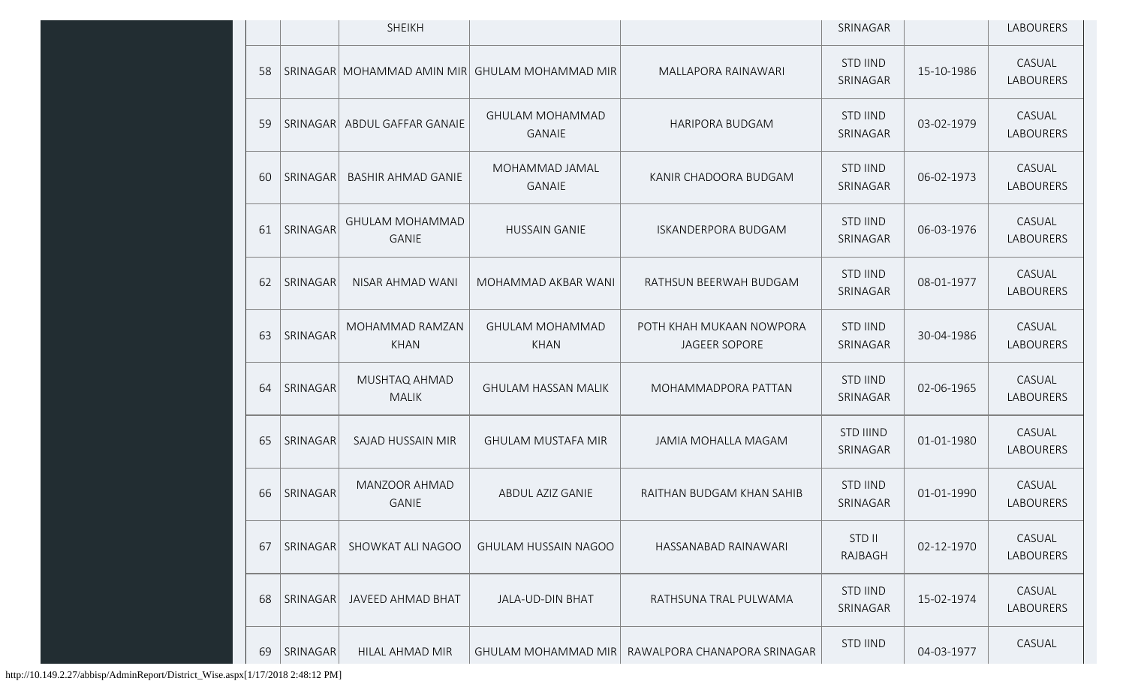|    |                 | <b>SHEIKH</b>                          |                                                |                                           | SRINAGAR                     |            | <b>LABOURERS</b>           |
|----|-----------------|----------------------------------------|------------------------------------------------|-------------------------------------------|------------------------------|------------|----------------------------|
| 58 |                 |                                        | SRINAGAR MOHAMMAD AMIN MIR GHULAM MOHAMMAD MIR | MALLAPORA RAINAWARI                       | <b>STD IIND</b><br>SRINAGAR  | 15-10-1986 | CASUAL<br><b>LABOURERS</b> |
| 59 | SRINAGAR        | ABDUL GAFFAR GANAIE                    | <b>GHULAM MOHAMMAD</b><br><b>GANAIE</b>        | <b>HARIPORA BUDGAM</b>                    | STD IIND<br>SRINAGAR         | 03-02-1979 | CASUAL<br><b>LABOURERS</b> |
| 60 | SRINAGAR        | <b>BASHIR AHMAD GANIE</b>              | MOHAMMAD JAMAL<br><b>GANAIE</b>                | KANIR CHADOORA BUDGAM                     | <b>STD IIND</b><br>SRINAGAR  | 06-02-1973 | CASUAL<br><b>LABOURERS</b> |
| 61 | SRINAGAR        | <b>GHULAM MOHAMMAD</b><br><b>GANIE</b> | <b>HUSSAIN GANIE</b>                           | <b>ISKANDERPORA BUDGAM</b>                | <b>STD IIND</b><br>SRINAGAR  | 06-03-1976 | CASUAL<br><b>LABOURERS</b> |
| 62 | <b>SRINAGAR</b> | NISAR AHMAD WANI                       | MOHAMMAD AKBAR WANI                            | RATHSUN BEERWAH BUDGAM                    | <b>STD IIND</b><br>SRINAGAR  | 08-01-1977 | CASUAL<br><b>LABOURERS</b> |
| 63 | SRINAGAR        | MOHAMMAD RAMZAN<br>KHAN                | <b>GHULAM MOHAMMAD</b><br><b>KHAN</b>          | POTH KHAH MUKAAN NOWPORA<br>JAGEER SOPORE | <b>STD IIND</b><br>SRINAGAR  | 30-04-1986 | CASUAL<br><b>LABOURERS</b> |
| 64 | SRINAGAR        | MUSHTAQ AHMAD<br><b>MALIK</b>          | <b>GHULAM HASSAN MALIK</b>                     | MOHAMMADPORA PATTAN                       | <b>STD IIND</b><br>SRINAGAR  | 02-06-1965 | CASUAL<br><b>LABOURERS</b> |
| 65 | SRINAGAR        | SAJAD HUSSAIN MIR                      | <b>GHULAM MUSTAFA MIR</b>                      | <b>JAMIA MOHALLA MAGAM</b>                | <b>STD IIIND</b><br>SRINAGAR | 01-01-1980 | CASUAL<br><b>LABOURERS</b> |
| 66 | SRINAGAR        | <b>MANZOOR AHMAD</b><br><b>GANIE</b>   | <b>ABDUL AZIZ GANIE</b>                        | RAITHAN BUDGAM KHAN SAHIB                 | <b>STD IIND</b><br>SRINAGAR  | 01-01-1990 | CASUAL<br><b>LABOURERS</b> |
| 67 | <b>SRINAGAR</b> | SHOWKAT ALI NAGOO                      | <b>GHULAM HUSSAIN NAGOO</b>                    | HASSANABAD RAINAWARI                      | STD II<br>RAJBAGH            | 02-12-1970 | CASUAL<br><b>LABOURERS</b> |
| 68 | SRINAGAR        | JAVEED AHMAD BHAT                      | JALA-UD-DIN BHAT                               | RATHSUNA TRAL PULWAMA                     | <b>STD IIND</b><br>SRINAGAR  | 15-02-1974 | CASUAL<br><b>LABOURERS</b> |
| 69 | SRINAGAR        | HILAL AHMAD MIR                        | GHULAM MOHAMMAD MIR                            | RAWALPORA CHANAPORA SRINAGAR              | <b>STD IIND</b>              | 04-03-1977 | CASUAL                     |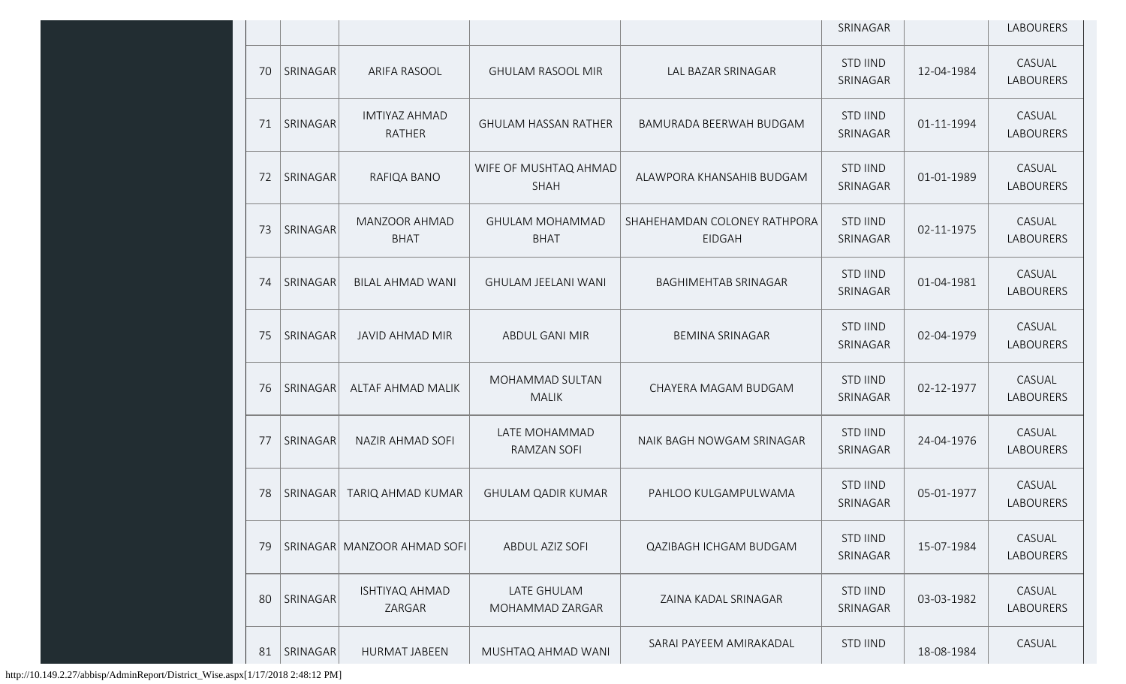|    |          |                                       |                                       |                                               | SRINAGAR                    |            | <b>LABOURERS</b>           |
|----|----------|---------------------------------------|---------------------------------------|-----------------------------------------------|-----------------------------|------------|----------------------------|
| 70 | SRINAGAR | ARIFA RASOOL                          | <b>GHULAM RASOOL MIR</b>              | LAL BAZAR SRINAGAR                            | <b>STD IIND</b><br>SRINAGAR | 12-04-1984 | CASUAL<br><b>LABOURERS</b> |
| 71 | SRINAGAR | <b>IMTIYAZ AHMAD</b><br><b>RATHER</b> | <b>GHULAM HASSAN RATHER</b>           | BAMURADA BEERWAH BUDGAM                       | <b>STD IIND</b><br>SRINAGAR | 01-11-1994 | CASUAL<br><b>LABOURERS</b> |
| 72 | SRINAGAR | RAFIQA BANO                           | WIFE OF MUSHTAQ AHMAD<br>SHAH         | ALAWPORA KHANSAHIB BUDGAM                     | <b>STD IIND</b><br>SRINAGAR | 01-01-1989 | CASUAL<br><b>LABOURERS</b> |
| 73 | SRINAGAR | <b>MANZOOR AHMAD</b><br><b>BHAT</b>   | <b>GHULAM MOHAMMAD</b><br><b>BHAT</b> | SHAHEHAMDAN COLONEY RATHPORA<br><b>EIDGAH</b> | <b>STD IIND</b><br>SRINAGAR | 02-11-1975 | CASUAL<br><b>LABOURERS</b> |
| 74 | SRINAGAR | <b>BILAL AHMAD WANI</b>               | <b>GHULAM JEELANI WANI</b>            | <b>BAGHIMEHTAB SRINAGAR</b>                   | <b>STD IIND</b><br>SRINAGAR | 01-04-1981 | CASUAL<br><b>LABOURERS</b> |
| 75 | SRINAGAR | <b>JAVID AHMAD MIR</b>                | ABDUL GANI MIR                        | <b>BEMINA SRINAGAR</b>                        | <b>STD IIND</b><br>SRINAGAR | 02-04-1979 | CASUAL<br><b>LABOURERS</b> |
| 76 | SRINAGAR | ALTAF AHMAD MALIK                     | MOHAMMAD SULTAN<br><b>MALIK</b>       | CHAYERA MAGAM BUDGAM                          | <b>STD IIND</b><br>SRINAGAR | 02-12-1977 | CASUAL<br><b>LABOURERS</b> |
| 77 | SRINAGAR | NAZIR AHMAD SOFI                      | LATE MOHAMMAD<br><b>RAMZAN SOFI</b>   | NAIK BAGH NOWGAM SRINAGAR                     | <b>STD IIND</b><br>SRINAGAR | 24-04-1976 | CASUAL<br><b>LABOURERS</b> |
| 78 | SRINAGAR | TARIQ AHMAD KUMAR                     | <b>GHULAM QADIR KUMAR</b>             | PAHLOO KULGAMPULWAMA                          | <b>STD IIND</b><br>SRINAGAR | 05-01-1977 | CASUAL<br><b>LABOURERS</b> |
| 79 |          | SRINAGAR   MANZOOR AHMAD SOFI         | ABDUL AZIZ SOFI                       | QAZIBAGH ICHGAM BUDGAM                        | <b>STD IIND</b><br>SRINAGAR | 15-07-1984 | CASUAL<br>LABOURERS        |
| 80 | SRINAGAR | <b>ISHTIYAQ AHMAD</b><br>ZARGAR       | LATE GHULAM<br>MOHAMMAD ZARGAR        | ZAINA KADAL SRINAGAR                          | <b>STD IIND</b><br>SRINAGAR | 03-03-1982 | CASUAL<br><b>LABOURERS</b> |
| 81 | SRINAGAR | HURMAT JABEEN                         | MUSHTAQ AHMAD WANI                    | SARAI PAYEEM AMIRAKADAL                       | <b>STD IIND</b>             | 18-08-1984 | CASUAL                     |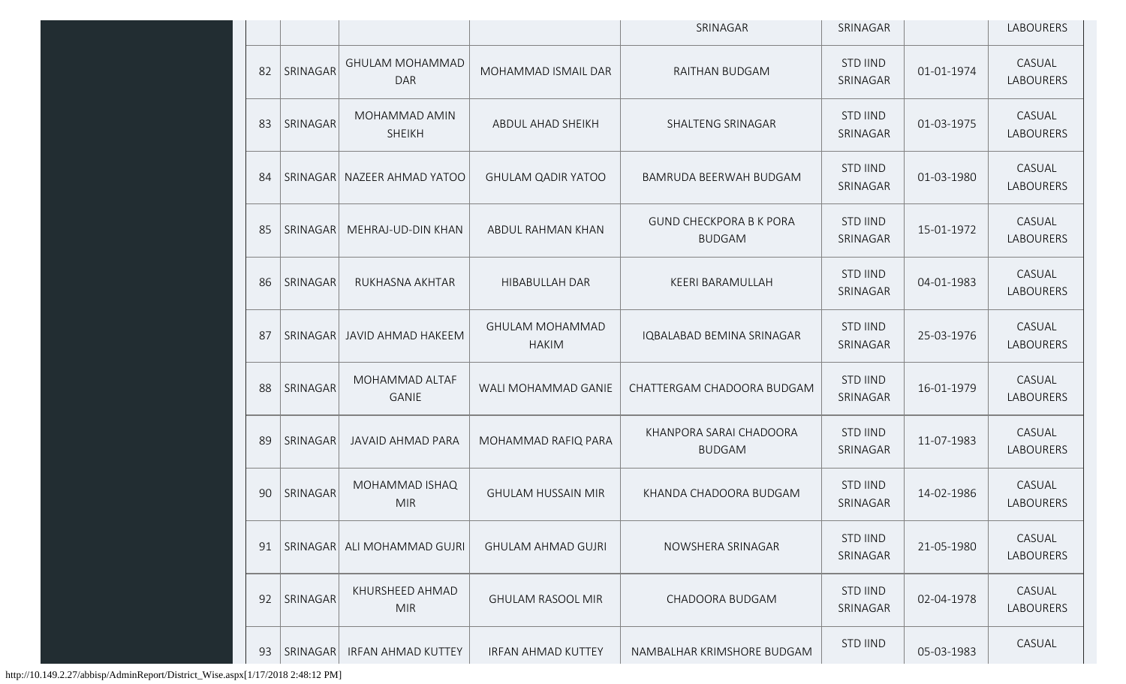|    |                 |                                |                                        | SRINAGAR                                        | SRINAGAR                    |            | <b>LABOURERS</b>           |
|----|-----------------|--------------------------------|----------------------------------------|-------------------------------------------------|-----------------------------|------------|----------------------------|
| 82 | SRINAGAR        | GHULAM MOHAMMAD<br><b>DAR</b>  | MOHAMMAD ISMAIL DAR                    | RAITHAN BUDGAM                                  | <b>STD IIND</b><br>SRINAGAR | 01-01-1974 | CASUAL<br><b>LABOURERS</b> |
| 83 | SRINAGAR        | MOHAMMAD AMIN<br><b>SHEIKH</b> | ABDUL AHAD SHEIKH                      | SHALTENG SRINAGAR                               | <b>STD IIND</b><br>SRINAGAR | 01-03-1975 | CASUAL<br><b>LABOURERS</b> |
| 84 | SRINAGAR        | NAZEER AHMAD YATOO             | <b>GHULAM QADIR YATOO</b>              | BAMRUDA BEERWAH BUDGAM                          | <b>STD IIND</b><br>SRINAGAR | 01-03-1980 | CASUAL<br><b>LABOURERS</b> |
| 85 | <b>SRINAGAR</b> | MEHRAJ-UD-DIN KHAN             | ABDUL RAHMAN KHAN                      | <b>GUND CHECKPORA B K PORA</b><br><b>BUDGAM</b> | <b>STD IIND</b><br>SRINAGAR | 15-01-1972 | CASUAL<br><b>LABOURERS</b> |
| 86 | SRINAGAR        | RUKHASNA AKHTAR                | <b>HIBABULLAH DAR</b>                  | KEERI BARAMULLAH                                | <b>STD IIND</b><br>SRINAGAR | 04-01-1983 | CASUAL<br><b>LABOURERS</b> |
| 87 | SRINAGAR        | <b>JAVID AHMAD HAKEEM</b>      | <b>GHULAM MOHAMMAD</b><br><b>HAKIM</b> | IQBALABAD BEMINA SRINAGAR                       | <b>STD IIND</b><br>SRINAGAR | 25-03-1976 | CASUAL<br><b>LABOURERS</b> |
| 88 | SRINAGAR        | MOHAMMAD ALTAF<br><b>GANIE</b> | WALI MOHAMMAD GANIE                    | CHATTERGAM CHADOORA BUDGAM                      | <b>STD IIND</b><br>SRINAGAR | 16-01-1979 | CASUAL<br><b>LABOURERS</b> |
| 89 | SRINAGAR        | <b>JAVAID AHMAD PARA</b>       | MOHAMMAD RAFIQ PARA                    | KHANPORA SARAI CHADOORA<br><b>BUDGAM</b>        | <b>STD IIND</b><br>SRINAGAR | 11-07-1983 | CASUAL<br><b>LABOURERS</b> |
| 90 | SRINAGAR        | MOHAMMAD ISHAQ<br><b>MIR</b>   | <b>GHULAM HUSSAIN MIR</b>              | KHANDA CHADOORA BUDGAM                          | <b>STD IIND</b><br>SRINAGAR | 14-02-1986 | CASUAL<br><b>LABOURERS</b> |
| 91 | SRINAGAR        | ALI MOHAMMAD GUJRI             | <b>GHULAM AHMAD GUJRI</b>              | NOWSHERA SRINAGAR                               | <b>STD IIND</b><br>SRINAGAR | 21-05-1980 | CASUAL<br><b>LABOURERS</b> |
| 92 | SRINAGAR        | KHURSHEED AHMAD<br><b>MIR</b>  | <b>GHULAM RASOOL MIR</b>               | CHADOORA BUDGAM                                 | <b>STD IIND</b><br>SRINAGAR | 02-04-1978 | CASUAL<br><b>LABOURERS</b> |
| 93 | SRINAGAR        | <b>IRFAN AHMAD KUTTEY</b>      | <b>IRFAN AHMAD KUTTEY</b>              | NAMBALHAR KRIMSHORE BUDGAM                      | <b>STD IIND</b>             | 05-03-1983 | CASUAL                     |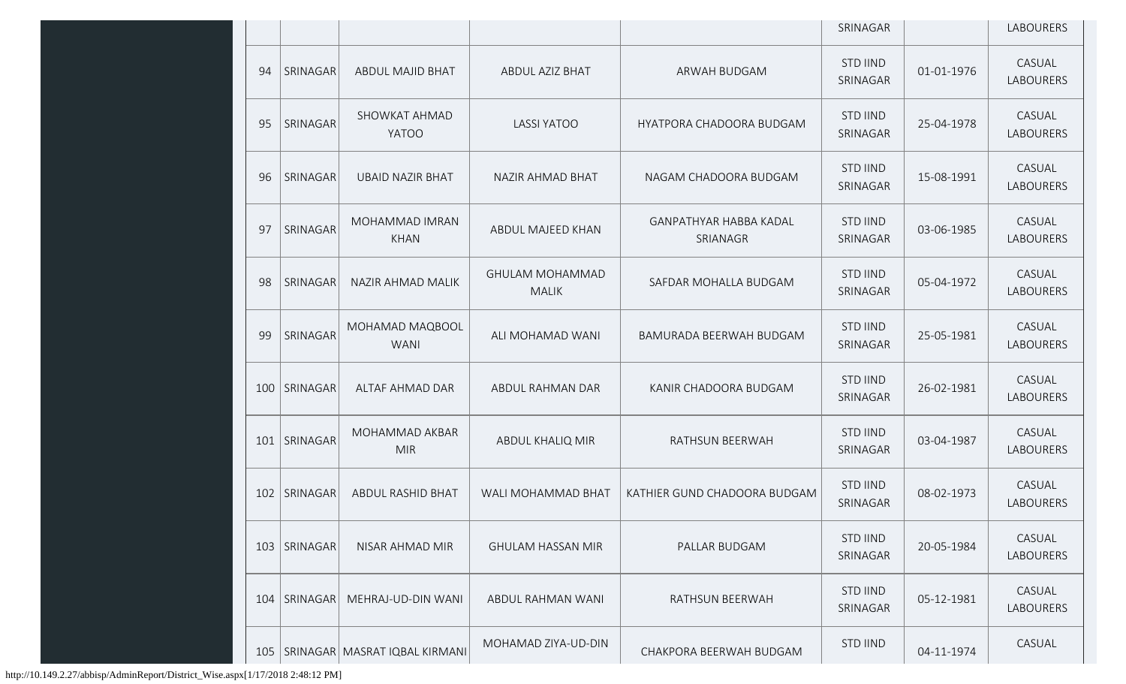|     |                 |                                |                                        |                                           | SRINAGAR                    |            | <b>LABOURERS</b>           |
|-----|-----------------|--------------------------------|----------------------------------------|-------------------------------------------|-----------------------------|------------|----------------------------|
| 94  | SRINAGAR        | ABDUL MAJID BHAT               | ABDUL AZIZ BHAT                        | ARWAH BUDGAM                              | <b>STD IIND</b><br>SRINAGAR | 01-01-1976 | CASUAL<br><b>LABOURERS</b> |
| 95  | SRINAGAR        | SHOWKAT AHMAD<br><b>YATOO</b>  | <b>LASSI YATOO</b>                     | HYATPORA CHADOORA BUDGAM                  | <b>STD IIND</b><br>SRINAGAR | 25-04-1978 | CASUAL<br><b>LABOURERS</b> |
| 96  | SRINAGAR        | <b>UBAID NAZIR BHAT</b>        | NAZIR AHMAD BHAT                       | NAGAM CHADOORA BUDGAM                     | <b>STD IIND</b><br>SRINAGAR | 15-08-1991 | CASUAL<br>LABOURERS        |
| 97  | SRINAGAR        | MOHAMMAD IMRAN<br><b>KHAN</b>  | ABDUL MAJEED KHAN                      | <b>GANPATHYAR HABBA KADAL</b><br>SRIANAGR | <b>STD IIND</b><br>SRINAGAR | 03-06-1985 | CASUAL<br>LABOURERS        |
| 98  | <b>SRINAGAR</b> | <b>NAZIR AHMAD MALIK</b>       | <b>GHULAM MOHAMMAD</b><br><b>MALIK</b> | SAFDAR MOHALLA BUDGAM                     | <b>STD IIND</b><br>SRINAGAR | 05-04-1972 | CASUAL<br><b>LABOURERS</b> |
| 99  | SRINAGAR        | MOHAMAD MAQBOOL<br><b>WANI</b> | ALI MOHAMAD WANI                       | <b>BAMURADA BEERWAH BUDGAM</b>            | <b>STD IIND</b><br>SRINAGAR | 25-05-1981 | CASUAL<br><b>LABOURERS</b> |
| 100 | SRINAGAR        | ALTAF AHMAD DAR                | ABDUL RAHMAN DAR                       | KANIR CHADOORA BUDGAM                     | <b>STD IIND</b><br>SRINAGAR | 26-02-1981 | CASUAL<br><b>LABOURERS</b> |
| 101 | SRINAGAR        | MOHAMMAD AKBAR<br><b>MIR</b>   | ABDUL KHALIQ MIR                       | RATHSUN BEERWAH                           | <b>STD IIND</b><br>SRINAGAR | 03-04-1987 | CASUAL<br><b>LABOURERS</b> |
| 102 | SRINAGAR        | ABDUL RASHID BHAT              | WALI MOHAMMAD BHAT                     | KATHIER GUND CHADOORA BUDGAM              | <b>STD IIND</b><br>SRINAGAR | 08-02-1973 | CASUAL<br><b>LABOURERS</b> |
| 103 | SRINAGAR        | NISAR AHMAD MIR                | <b>GHULAM HASSAN MIR</b>               | PALLAR BUDGAM                             | <b>STD IIND</b><br>SRINAGAR | 20-05-1984 | CASUAL<br>LABOURERS        |
| 104 | SRINAGAR        | MEHRAJ-UD-DIN WANI             | ABDUL RAHMAN WANI                      | RATHSUN BEERWAH                           | <b>STD IIND</b><br>SRINAGAR | 05-12-1981 | CASUAL<br>LABOURERS        |
| 105 |                 | SRINAGAR MASRAT IQBAL KIRMANI  | MOHAMAD ZIYA-UD-DIN                    | CHAKPORA BEERWAH BUDGAM                   | <b>STD IIND</b>             | 04-11-1974 | CASUAL                     |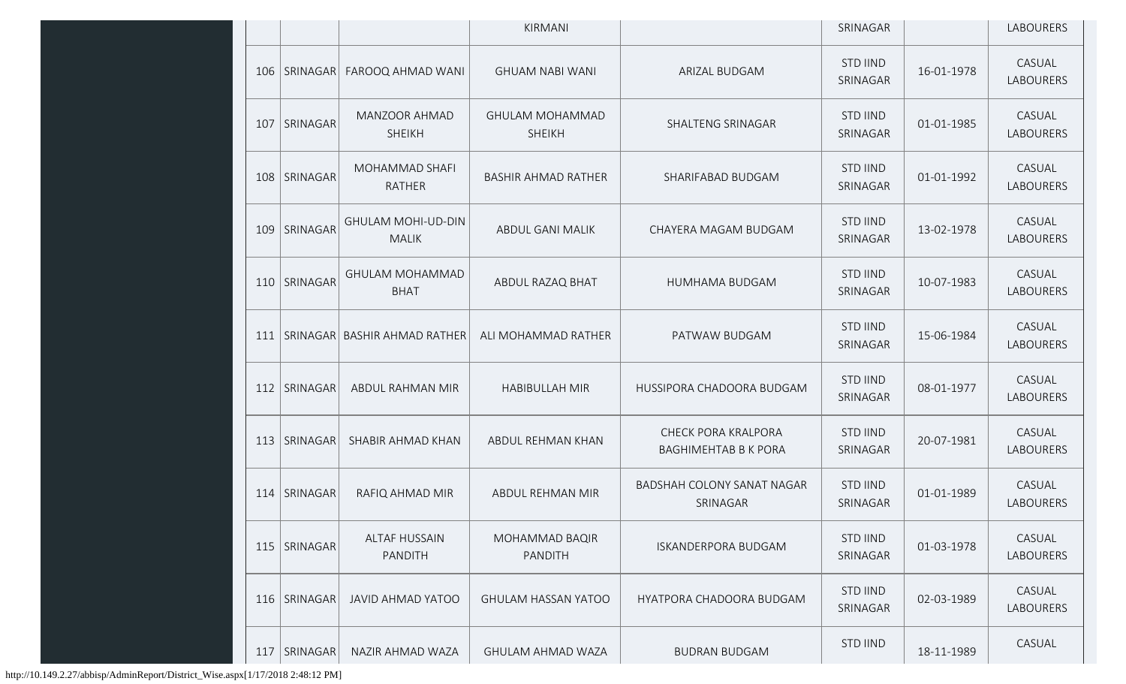|     |                 |                                           | <b>KIRMANI</b>                          |                                                           | SRINAGAR                    |            | <b>LABOURERS</b>           |
|-----|-----------------|-------------------------------------------|-----------------------------------------|-----------------------------------------------------------|-----------------------------|------------|----------------------------|
|     | 106   SRINAGAR  | FAROOQ AHMAD WANI                         | <b>GHUAM NABI WANI</b>                  | ARIZAL BUDGAM                                             | <b>STD IIND</b><br>SRINAGAR | 16-01-1978 | CASUAL<br><b>LABOURERS</b> |
| 107 | SRINAGAR        | MANZOOR AHMAD<br><b>SHEIKH</b>            | <b>GHULAM MOHAMMAD</b><br><b>SHEIKH</b> | SHALTENG SRINAGAR                                         | <b>STD IIND</b><br>SRINAGAR | 01-01-1985 | CASUAL<br><b>LABOURERS</b> |
| 108 | SRINAGAR        | MOHAMMAD SHAFI<br>RATHER                  | <b>BASHIR AHMAD RATHER</b>              | SHARIFABAD BUDGAM                                         | <b>STD IIND</b><br>SRINAGAR | 01-01-1992 | CASUAL<br><b>LABOURERS</b> |
| 109 | SRINAGAR        | <b>GHULAM MOHI-UD-DIN</b><br><b>MALIK</b> | ABDUL GANI MALIK                        | CHAYERA MAGAM BUDGAM                                      | <b>STD IIND</b><br>SRINAGAR | 13-02-1978 | CASUAL<br><b>LABOURERS</b> |
|     | 110   SRINAGAR  | <b>GHULAM MOHAMMAD</b><br><b>BHAT</b>     | ABDUL RAZAQ BHAT                        | HUMHAMA BUDGAM                                            | <b>STD IIND</b><br>SRINAGAR | 10-07-1983 | CASUAL<br><b>LABOURERS</b> |
| 111 |                 | SRINAGAR BASHIR AHMAD RATHER              | ALI MOHAMMAD RATHER                     | PATWAW BUDGAM                                             | <b>STD IIND</b><br>SRINAGAR | 15-06-1984 | CASUAL<br>LABOURERS        |
| 112 | <b>SRINAGAR</b> | ABDUL RAHMAN MIR                          | <b>HABIBULLAH MIR</b>                   | HUSSIPORA CHADOORA BUDGAM                                 | <b>STD IIND</b><br>SRINAGAR | 08-01-1977 | CASUAL<br><b>LABOURERS</b> |
| 113 | SRINAGAR        | SHABIR AHMAD KHAN                         | ABDUL REHMAN KHAN                       | <b>CHECK PORA KRALPORA</b><br><b>BAGHIMEHTAB B K PORA</b> | <b>STD IIND</b><br>SRINAGAR | 20-07-1981 | CASUAL<br><b>LABOURERS</b> |
| 114 | SRINAGAR        | RAFIQ AHMAD MIR                           | ABDUL REHMAN MIR                        | BADSHAH COLONY SANAT NAGAR<br>SRINAGAR                    | <b>STD IIND</b><br>SRINAGAR | 01-01-1989 | CASUAL<br><b>LABOURERS</b> |
|     | 115   SRINAGAR  | <b>ALTAF HUSSAIN</b><br>PANDITH           | MOHAMMAD BAQIR<br>PANDITH               | <b>ISKANDERPORA BUDGAM</b>                                | <b>STD IIND</b><br>SRINAGAR | 01-03-1978 | CASUAL<br><b>LABOURERS</b> |
|     | 116   SRINAGAR  | JAVID AHMAD YATOO                         | <b>GHULAM HASSAN YATOO</b>              | HYATPORA CHADOORA BUDGAM                                  | <b>STD IIND</b><br>SRINAGAR | 02-03-1989 | CASUAL<br><b>LABOURERS</b> |
| 117 | SRINAGAR        | NAZIR AHMAD WAZA                          | <b>GHULAM AHMAD WAZA</b>                | <b>BUDRAN BUDGAM</b>                                      | <b>STD IIND</b>             | 18-11-1989 | CASUAL                     |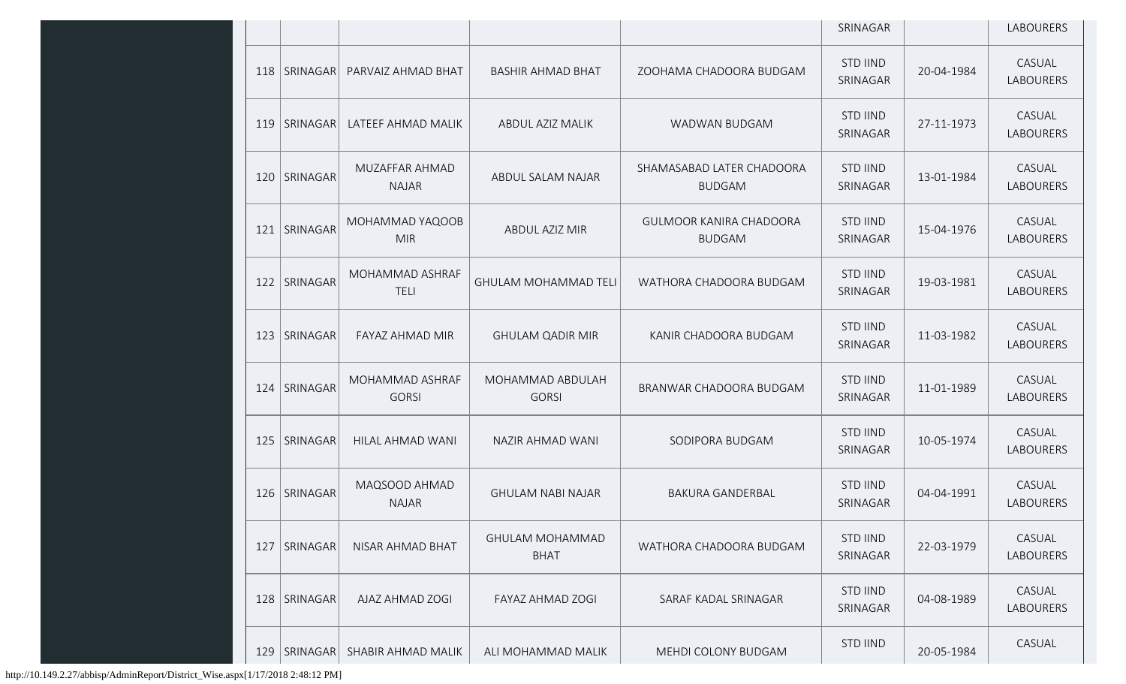|     |                 |                                 |                                       |                                                 | SRINAGAR                    |            | <b>LABOURERS</b>           |
|-----|-----------------|---------------------------------|---------------------------------------|-------------------------------------------------|-----------------------------|------------|----------------------------|
| 118 | SRINAGAR        | PARVAIZ AHMAD BHAT              | <b>BASHIR AHMAD BHAT</b>              | ZOOHAMA CHADOORA BUDGAM                         | <b>STD IIND</b><br>SRINAGAR | 20-04-1984 | CASUAL<br><b>LABOURERS</b> |
| 119 | SRINAGAR        | LATEEF AHMAD MALIK              | ABDUL AZIZ MALIK                      | WADWAN BUDGAM                                   | <b>STD IIND</b><br>SRINAGAR | 27-11-1973 | CASUAL<br><b>LABOURERS</b> |
| 120 | SRINAGAR        | MUZAFFAR AHMAD<br><b>NAJAR</b>  | ABDUL SALAM NAJAR                     | SHAMASABAD LATER CHADOORA<br><b>BUDGAM</b>      | <b>STD IIND</b><br>SRINAGAR | 13-01-1984 | CASUAL<br><b>LABOURERS</b> |
| 121 | <b>SRINAGAR</b> | MOHAMMAD YAQOOB<br><b>MIR</b>   | ABDUL AZIZ MIR                        | <b>GULMOOR KANIRA CHADOORA</b><br><b>BUDGAM</b> | <b>STD IIND</b><br>SRINAGAR | 15-04-1976 | CASUAL<br><b>LABOURERS</b> |
| 122 | SRINAGAR        | MOHAMMAD ASHRAF<br><b>TELI</b>  | <b>GHULAM MOHAMMAD TELI</b>           | WATHORA CHADOORA BUDGAM                         | <b>STD IIND</b><br>SRINAGAR | 19-03-1981 | CASUAL<br><b>LABOURERS</b> |
| 123 | SRINAGAR        | FAYAZ AHMAD MIR                 | <b>GHULAM QADIR MIR</b>               | KANIR CHADOORA BUDGAM                           | <b>STD IIND</b><br>SRINAGAR | 11-03-1982 | CASUAL<br><b>LABOURERS</b> |
| 124 | SRINAGAR        | MOHAMMAD ASHRAF<br><b>GORSI</b> | MOHAMMAD ABDULAH<br><b>GORSI</b>      | BRANWAR CHADOORA BUDGAM                         | <b>STD IIND</b><br>SRINAGAR | 11-01-1989 | CASUAL<br><b>LABOURERS</b> |
| 125 | SRINAGAR        | HILAL AHMAD WANI                | NAZIR AHMAD WANI                      | SODIPORA BUDGAM                                 | <b>STD IIND</b><br>SRINAGAR | 10-05-1974 | CASUAL<br><b>LABOURERS</b> |
| 126 | SRINAGAR        | MAQSOOD AHMAD<br><b>NAJAR</b>   | <b>GHULAM NABI NAJAR</b>              | <b>BAKURA GANDERBAL</b>                         | <b>STD IIND</b><br>SRINAGAR | 04-04-1991 | CASUAL<br><b>LABOURERS</b> |
| 127 | SRINAGAR        | NISAR AHMAD BHAT                | <b>GHULAM MOHAMMAD</b><br><b>BHAT</b> | WATHORA CHADOORA BUDGAM                         | <b>STD IIND</b><br>SRINAGAR | 22-03-1979 | CASUAL<br><b>LABOURERS</b> |
| 128 | SRINAGAR        | AJAZ AHMAD ZOGI                 | FAYAZ AHMAD ZOGI                      | SARAF KADAL SRINAGAR                            | <b>STD IIND</b><br>SRINAGAR | 04-08-1989 | CASUAL<br><b>LABOURERS</b> |
| 129 | SRINAGAR        | SHABIR AHMAD MALIK              | ALI MOHAMMAD MALIK                    | MEHDI COLONY BUDGAM                             | <b>STD IIND</b>             | 20-05-1984 | CASUAL                     |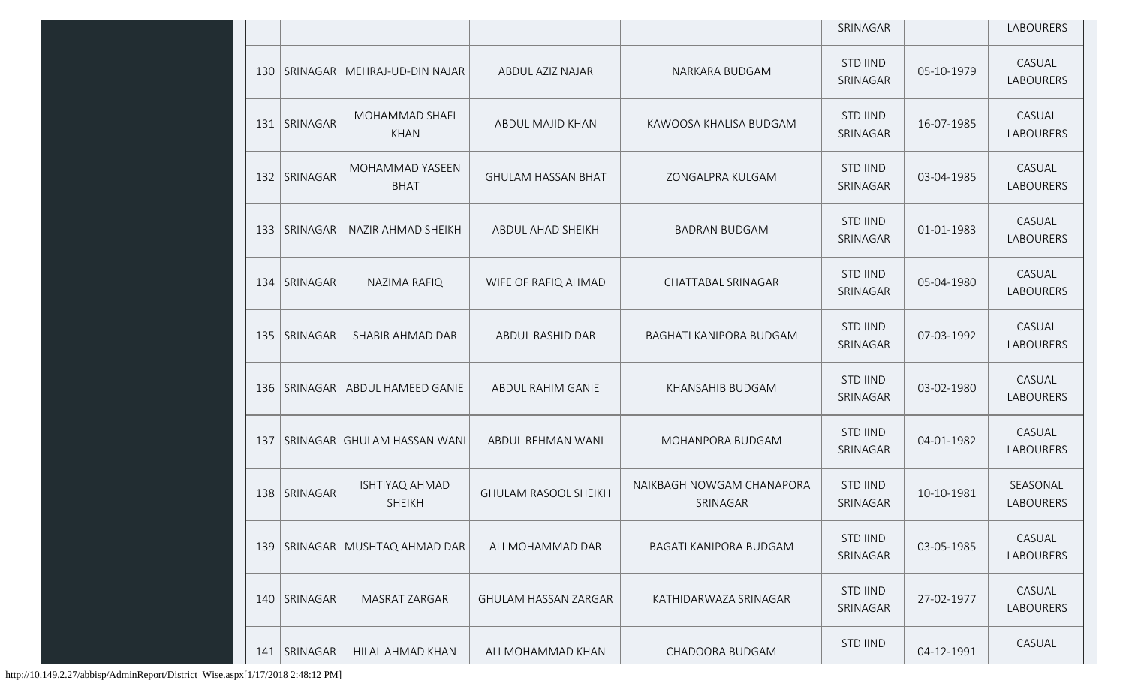|     |                 |                                        |                             |                                       | SRINAGAR                    |            | <b>LABOURERS</b>             |
|-----|-----------------|----------------------------------------|-----------------------------|---------------------------------------|-----------------------------|------------|------------------------------|
| 130 | SRINAGAR        | MEHRAJ-UD-DIN NAJAR                    | ABDUL AZIZ NAJAR            | NARKARA BUDGAM                        | <b>STD IIND</b><br>SRINAGAR | 05-10-1979 | CASUAL<br><b>LABOURERS</b>   |
|     | 131   SRINAGAR  | MOHAMMAD SHAFI<br><b>KHAN</b>          | ABDUL MAJID KHAN            | KAWOOSA KHALISA BUDGAM                | <b>STD IIND</b><br>SRINAGAR | 16-07-1985 | CASUAL<br><b>LABOURERS</b>   |
| 132 | SRINAGAR        | MOHAMMAD YASEEN<br><b>BHAT</b>         | <b>GHULAM HASSAN BHAT</b>   | ZONGALPRA KULGAM                      | <b>STD IIND</b><br>SRINAGAR | 03-04-1985 | CASUAL<br><b>LABOURERS</b>   |
| 133 | SRINAGAR        | NAZIR AHMAD SHEIKH                     | ABDUL AHAD SHEIKH           | <b>BADRAN BUDGAM</b>                  | <b>STD IIND</b><br>SRINAGAR | 01-01-1983 | CASUAL<br>LABOURERS          |
| 134 | <b>SRINAGAR</b> | NAZIMA RAFIQ                           | WIFE OF RAFIQ AHMAD         | <b>CHATTABAL SRINAGAR</b>             | <b>STD IIND</b><br>SRINAGAR | 05-04-1980 | CASUAL<br>LABOURERS          |
| 135 | SRINAGAR        | SHABIR AHMAD DAR                       | ABDUL RASHID DAR            | BAGHATI KANIPORA BUDGAM               | <b>STD IIND</b><br>SRINAGAR | 07-03-1992 | CASUAL<br><b>LABOURERS</b>   |
| 136 | SRINAGAR        | ABDUL HAMEED GANIE                     | ABDUL RAHIM GANIE           | KHANSAHIB BUDGAM                      | <b>STD IIND</b><br>SRINAGAR | 03-02-1980 | CASUAL<br><b>LABOURERS</b>   |
| 137 |                 | SRINAGAR  GHULAM HASSAN WANI           | ABDUL REHMAN WANI           | MOHANPORA BUDGAM                      | <b>STD IIND</b><br>SRINAGAR | 04-01-1982 | CASUAL<br><b>LABOURERS</b>   |
| 138 | <b>SRINAGAR</b> | <b>ISHTIYAQ AHMAD</b><br><b>SHEIKH</b> | <b>GHULAM RASOOL SHEIKH</b> | NAIKBAGH NOWGAM CHANAPORA<br>SRINAGAR | <b>STD IIND</b><br>SRINAGAR | 10-10-1981 | SEASONAL<br><b>LABOURERS</b> |
| 139 |                 | SRINAGAR   MUSHTAQ AHMAD DAR           | ALI MOHAMMAD DAR            | BAGATI KANIPORA BUDGAM                | <b>STD IIND</b><br>SRINAGAR | 03-05-1985 | CASUAL<br>LABOURERS          |
| 140 | SRINAGAR        | MASRAT ZARGAR                          | <b>GHULAM HASSAN ZARGAR</b> | KATHIDARWAZA SRINAGAR                 | <b>STD IIND</b><br>SRINAGAR | 27-02-1977 | CASUAL<br>LABOURERS          |
| 141 | SRINAGAR        | HILAL AHMAD KHAN                       | ALI MOHAMMAD KHAN           | CHADOORA BUDGAM                       | <b>STD IIND</b>             | 04-12-1991 | CASUAL                       |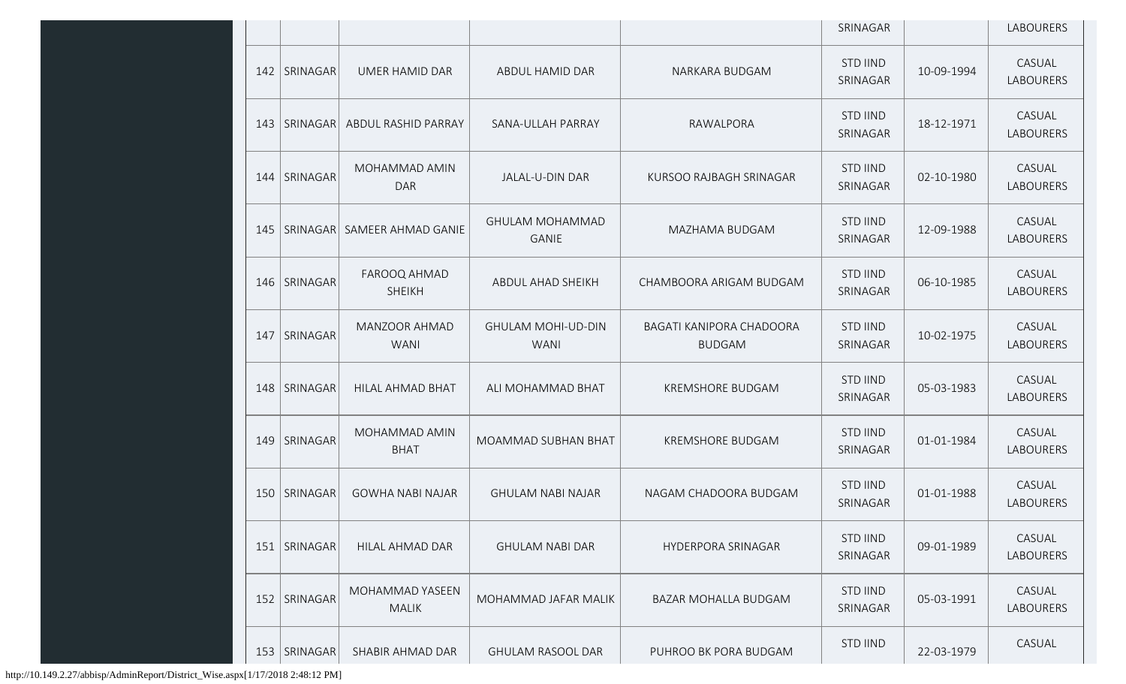|     |                 |                                 |                                          |                                                  | SRINAGAR                    |                            | <b>LABOURERS</b>           |
|-----|-----------------|---------------------------------|------------------------------------------|--------------------------------------------------|-----------------------------|----------------------------|----------------------------|
|     | 142   SRINAGAR  | UMER HAMID DAR                  | ABDUL HAMID DAR                          | NARKARA BUDGAM                                   | <b>STD IIND</b><br>SRINAGAR | 10-09-1994                 | CASUAL<br><b>LABOURERS</b> |
| 143 | <b>SRINAGAR</b> | ABDUL RASHID PARRAY             | SANA-ULLAH PARRAY                        | RAWALPORA                                        | <b>STD IIND</b><br>SRINAGAR | 18-12-1971                 | CASUAL<br><b>LABOURERS</b> |
| 144 | SRINAGAR        | MOHAMMAD AMIN<br><b>DAR</b>     | JALAL-U-DIN DAR                          | KURSOO RAJBAGH SRINAGAR                          | <b>STD IIND</b><br>SRINAGAR | 02-10-1980                 | CASUAL<br><b>LABOURERS</b> |
| 145 | SRINAGAR        | SAMEER AHMAD GANIE              | <b>GHULAM MOHAMMAD</b><br><b>GANIE</b>   | <b>STD IIND</b><br>MAZHAMA BUDGAM<br>SRINAGAR    |                             | 12-09-1988                 | CASUAL<br>LABOURERS        |
|     | 146   SRINAGAR  | FAROOQ AHMAD<br><b>SHEIKH</b>   | ABDUL AHAD SHEIKH                        | <b>STD IIND</b><br>SRINAGAR                      | 06-10-1985                  | CASUAL<br><b>LABOURERS</b> |                            |
| 147 | SRINAGAR        | MANZOOR AHMAD<br><b>WANI</b>    | <b>GHULAM MOHI-UD-DIN</b><br><b>WANI</b> | <b>BAGATI KANIPORA CHADOORA</b><br><b>BUDGAM</b> | <b>STD IIND</b><br>SRINAGAR |                            | CASUAL<br>LABOURERS        |
| 148 | <b>SRINAGAR</b> | HILAL AHMAD BHAT                | ALI MOHAMMAD BHAT                        | <b>KREMSHORE BUDGAM</b>                          | <b>STD IIND</b><br>SRINAGAR | 05-03-1983                 | CASUAL<br>LABOURERS        |
| 149 | SRINAGAR        | MOHAMMAD AMIN<br><b>BHAT</b>    | MOAMMAD SUBHAN BHAT                      | <b>KREMSHORE BUDGAM</b>                          | <b>STD IIND</b><br>SRINAGAR | 01-01-1984                 | CASUAL<br>LABOURERS        |
|     | 150   SRINAGAR  | <b>GOWHA NABI NAJAR</b>         | <b>GHULAM NABI NAJAR</b>                 | NAGAM CHADOORA BUDGAM                            | <b>STD IIND</b><br>SRINAGAR | 01-01-1988                 | CASUAL<br><b>LABOURERS</b> |
| 151 | SRINAGAR        | HILAL AHMAD DAR                 | <b>GHULAM NABI DAR</b>                   | HYDERPORA SRINAGAR                               | <b>STD IIND</b><br>SRINAGAR | 09-01-1989                 | CASUAL<br><b>LABOURERS</b> |
| 152 | SRINAGAR        | MOHAMMAD YASEEN<br><b>MALIK</b> | MOHAMMAD JAFAR MALIK                     | <b>BAZAR MOHALLA BUDGAM</b>                      | <b>STD IIND</b><br>SRINAGAR | 05-03-1991                 | CASUAL<br><b>LABOURERS</b> |
| 153 | SRINAGAR        | SHABIR AHMAD DAR                | <b>GHULAM RASOOL DAR</b>                 | PUHROO BK PORA BUDGAM                            | <b>STD IIND</b>             | 22-03-1979                 | CASUAL                     |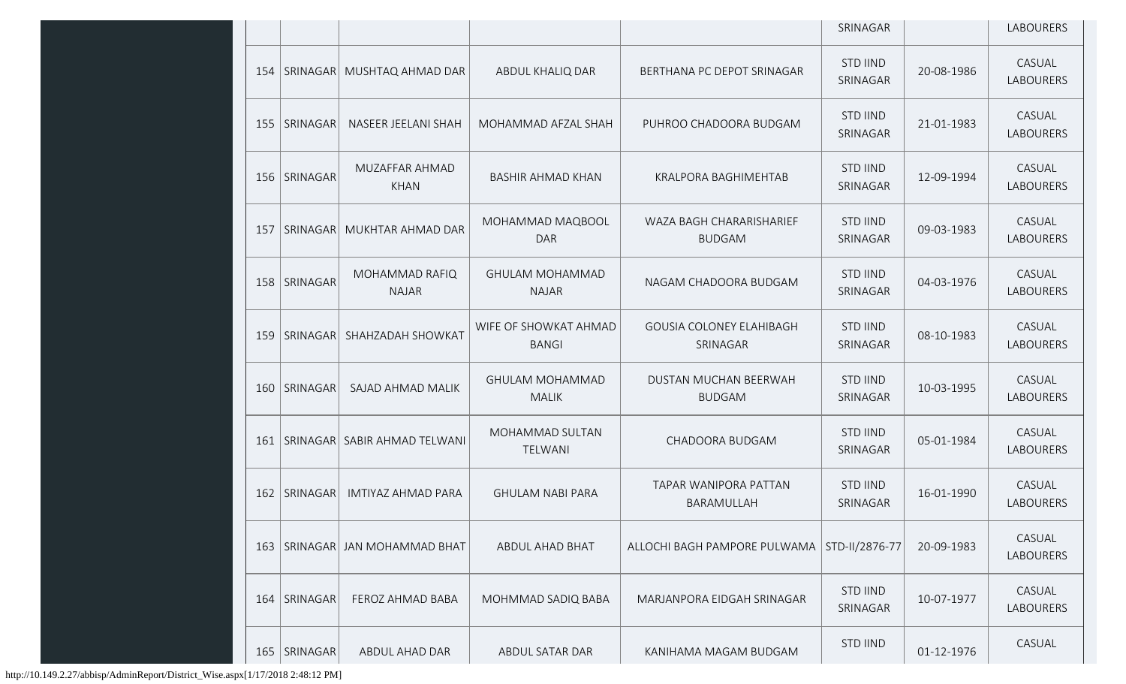|     |          |                                |                                                                               |                                           | SRINAGAR                    |            | <b>LABOURERS</b>           |
|-----|----------|--------------------------------|-------------------------------------------------------------------------------|-------------------------------------------|-----------------------------|------------|----------------------------|
| 154 | SRINAGAR | MUSHTAQ AHMAD DAR              | ABDUL KHALIQ DAR                                                              | BERTHANA PC DEPOT SRINAGAR                | <b>STD IIND</b><br>SRINAGAR | 20-08-1986 | CASUAL<br><b>LABOURERS</b> |
| 155 | SRINAGAR | NASEER JEELANI SHAH            | MOHAMMAD AFZAL SHAH                                                           | PUHROO CHADOORA BUDGAM                    | <b>STD IIND</b><br>SRINAGAR | 21-01-1983 | CASUAL<br><b>LABOURERS</b> |
| 156 | SRINAGAR | MUZAFFAR AHMAD<br><b>KHAN</b>  | <b>BASHIR AHMAD KHAN</b>                                                      | <b>KRALPORA BAGHIMEHTAB</b>               | <b>STD IIND</b><br>SRINAGAR | 12-09-1994 | CASUAL<br><b>LABOURERS</b> |
| 157 | SRINAGAR | MUKHTAR AHMAD DAR              | MOHAMMAD MAQBOOL<br><b>DAR</b>                                                | WAZA BAGH CHARARISHARIEF<br><b>BUDGAM</b> | <b>STD IIND</b><br>SRINAGAR | 09-03-1983 | CASUAL<br><b>LABOURERS</b> |
| 158 | SRINAGAR | MOHAMMAD RAFIQ<br><b>NAJAR</b> | <b>GHULAM MOHAMMAD</b><br><b>NAJAR</b>                                        | NAGAM CHADOORA BUDGAM                     | <b>STD IIND</b><br>SRINAGAR | 04-03-1976 | CASUAL<br><b>LABOURERS</b> |
| 159 | SRINAGAR | SHAHZADAH SHOWKAT              | GOUSIA COLONEY ELAHIBAGH<br>WIFE OF SHOWKAT AHMAD<br>SRINAGAR<br><b>BANGI</b> |                                           | <b>STD IIND</b><br>SRINAGAR | 08-10-1983 | CASUAL<br><b>LABOURERS</b> |
| 160 | SRINAGAR | SAJAD AHMAD MALIK              | <b>GHULAM MOHAMMAD</b><br><b>MALIK</b>                                        | DUSTAN MUCHAN BEERWAH<br><b>BUDGAM</b>    | <b>STD IIND</b><br>SRINAGAR | 10-03-1995 | CASUAL<br><b>LABOURERS</b> |
| 161 |          | SRINAGAR SABIR AHMAD TELWANI   | MOHAMMAD SULTAN<br>TELWANI                                                    | CHADOORA BUDGAM                           | <b>STD IIND</b><br>SRINAGAR | 05-01-1984 | CASUAL<br><b>LABOURERS</b> |
| 162 | SRINAGAR | IMTIYAZ AHMAD PARA             | <b>GHULAM NABI PARA</b>                                                       | TAPAR WANIPORA PATTAN<br>BARAMULLAH       | <b>STD IIND</b><br>SRINAGAR | 16-01-1990 | CASUAL<br><b>LABOURERS</b> |
| 163 |          | SRINAGAR JAN MOHAMMAD BHAT     | ABDUL AHAD BHAT                                                               | ALLOCHI BAGH PAMPORE PULWAMA              | STD-II/2876-77              | 20-09-1983 | CASUAL<br>LABOURERS        |
| 164 | SRINAGAR | FEROZ AHMAD BABA               | MOHMMAD SADIQ BABA                                                            | MARJANPORA EIDGAH SRINAGAR                | <b>STD IIND</b><br>SRINAGAR | 10-07-1977 | CASUAL<br><b>LABOURERS</b> |
| 165 | SRINAGAR | ABDUL AHAD DAR                 | ABDUL SATAR DAR                                                               | KANIHAMA MAGAM BUDGAM                     | <b>STD IIND</b>             | 01-12-1976 | CASUAL                     |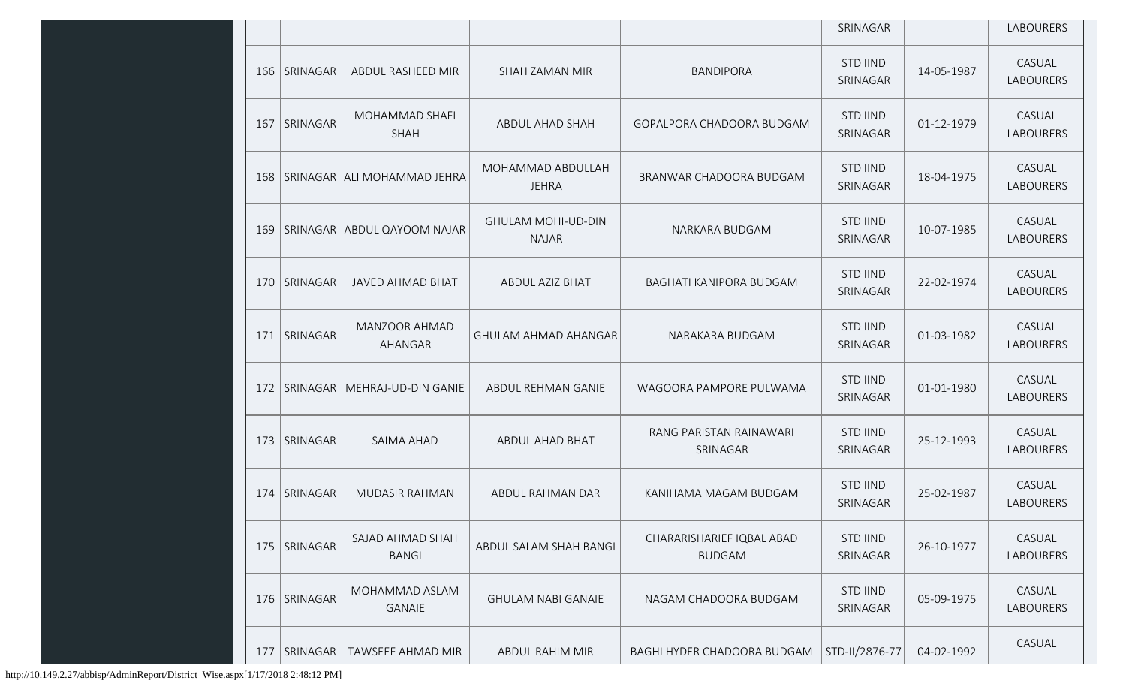|     |                 |                                     |                                              |                                                      | SRINAGAR                                  |            | <b>LABOURERS</b>           |
|-----|-----------------|-------------------------------------|----------------------------------------------|------------------------------------------------------|-------------------------------------------|------------|----------------------------|
|     | 166   SRINAGAR  | ABDUL RASHEED MIR                   | SHAH ZAMAN MIR                               | <b>BANDIPORA</b>                                     | <b>STD IIND</b><br>14-05-1987<br>SRINAGAR |            | CASUAL<br><b>LABOURERS</b> |
| 167 | SRINAGAR        | MOHAMMAD SHAFI<br><b>SHAH</b>       | ABDUL AHAD SHAH<br>GOPALPORA CHADOORA BUDGAM |                                                      | <b>STD IIND</b><br>SRINAGAR               | 01-12-1979 | CASUAL<br><b>LABOURERS</b> |
|     |                 | 168   SRINAGAR   ALI MOHAMMAD JEHRA | MOHAMMAD ABDULLAH<br><b>JEHRA</b>            | BRANWAR CHADOORA BUDGAM                              |                                           | 18-04-1975 | CASUAL<br><b>LABOURERS</b> |
| 169 |                 | SRINAGAR ABDUL QAYOOM NAJAR         | <b>GHULAM MOHI-UD-DIN</b><br><b>NAJAR</b>    | NARKARA BUDGAM                                       | <b>STD IIND</b><br>SRINAGAR               | 10-07-1985 | CASUAL<br>LABOURERS        |
|     | 170   SRINAGAR  | JAVED AHMAD BHAT                    | ABDUL AZIZ BHAT                              | BAGHATI KANIPORA BUDGAM                              | <b>STD IIND</b><br>SRINAGAR               | 22-02-1974 | CASUAL<br><b>LABOURERS</b> |
| 171 | SRINAGAR        | <b>MANZOOR AHMAD</b><br>AHANGAR     | <b>GHULAM AHMAD AHANGAR</b>                  | <b>STD IIND</b><br>NARAKARA BUDGAM<br>SRINAGAR       |                                           | 01-03-1982 | CASUAL<br><b>LABOURERS</b> |
| 172 | <b>SRINAGAR</b> | MEHRAJ-UD-DIN GANIE                 | ABDUL REHMAN GANIE                           | WAGOORA PAMPORE PULWAMA                              | <b>STD IIND</b><br>SRINAGAR               | 01-01-1980 | CASUAL<br><b>LABOURERS</b> |
| 173 | SRINAGAR        | SAIMA AHAD                          | ABDUL AHAD BHAT                              | RANG PARISTAN RAINAWARI<br>SRINAGAR                  | <b>STD IIND</b><br>SRINAGAR               | 25-12-1993 | CASUAL<br>LABOURERS        |
| 174 | SRINAGAR        | MUDASIR RAHMAN                      | ABDUL RAHMAN DAR                             | <b>STD IIND</b><br>KANIHAMA MAGAM BUDGAM<br>SRINAGAR |                                           | 25-02-1987 | CASUAL<br><b>LABOURERS</b> |
| 175 | SRINAGAR        | SAJAD AHMAD SHAH<br><b>BANGI</b>    | ABDUL SALAM SHAH BANGI                       | CHARARISHARIEF IQBAL ABAD<br><b>BUDGAM</b>           | <b>STD IIND</b><br>SRINAGAR               | 26-10-1977 | CASUAL<br>LABOURERS        |
|     | 176   SRINAGAR  | MOHAMMAD ASLAM<br><b>GANAIE</b>     | <b>GHULAM NABI GANAIE</b>                    | NAGAM CHADOORA BUDGAM                                | <b>STD IIND</b><br>SRINAGAR               | 05-09-1975 | CASUAL<br>LABOURERS        |
| 177 | SRINAGAR        | TAWSEEF AHMAD MIR                   | ABDUL RAHIM MIR                              | BAGHI HYDER CHADOORA BUDGAM                          | STD-II/2876-77                            | 04-02-1992 | CASUAL                     |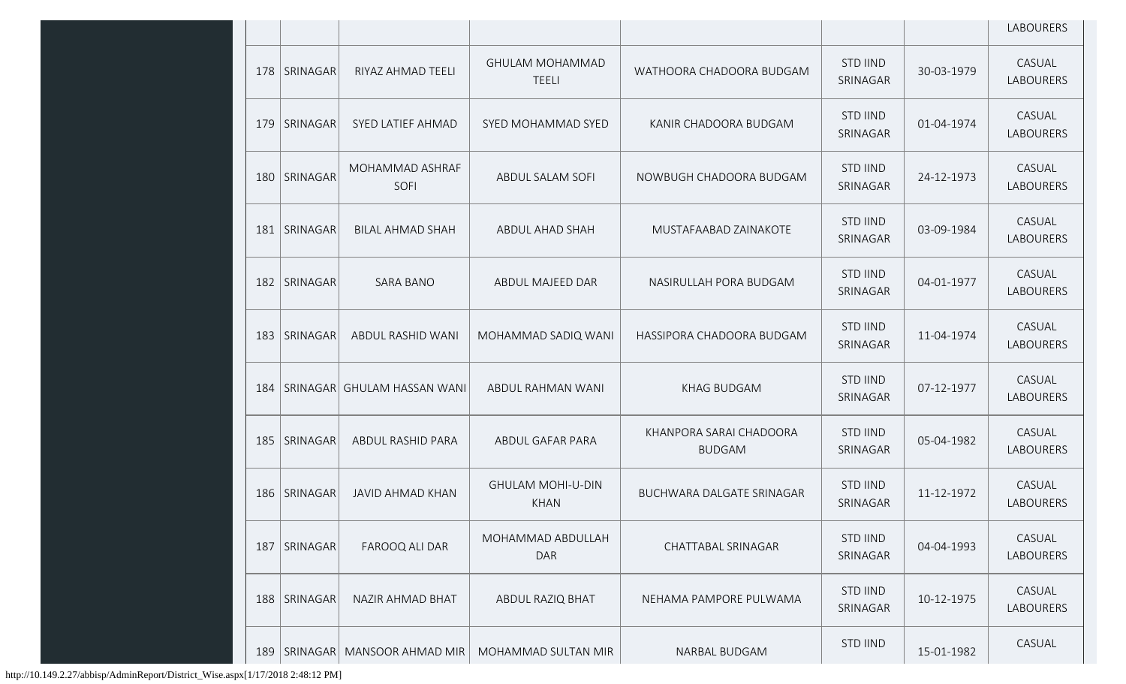|     |                |                              |                                         |                                                      |                             |            | <b>LABOURERS</b>           |
|-----|----------------|------------------------------|-----------------------------------------|------------------------------------------------------|-----------------------------|------------|----------------------------|
| 178 | SRINAGAR       | RIYAZ AHMAD TEELI            | <b>GHULAM MOHAMMAD</b><br><b>TEELI</b>  | WATHOORA CHADOORA BUDGAM                             | <b>STD IIND</b><br>SRINAGAR | 30-03-1979 | CASUAL<br><b>LABOURERS</b> |
| 179 | SRINAGAR       | SYED LATIEF AHMAD            | SYED MOHAMMAD SYED                      | KANIR CHADOORA BUDGAM                                | <b>STD IIND</b><br>SRINAGAR | 01-04-1974 | CASUAL<br><b>LABOURERS</b> |
| 180 | SRINAGAR       | MOHAMMAD ASHRAF<br>SOFI      | ABDUL SALAM SOFI                        | NOWBUGH CHADOORA BUDGAM                              | <b>STD IIND</b><br>SRINAGAR | 24-12-1973 | CASUAL<br><b>LABOURERS</b> |
| 181 | SRINAGAR       | <b>BILAL AHMAD SHAH</b>      | ABDUL AHAD SHAH                         | <b>STD IIND</b><br>MUSTAFAABAD ZAINAKOTE<br>SRINAGAR |                             | 03-09-1984 | CASUAL<br><b>LABOURERS</b> |
| 182 | SRINAGAR       | <b>SARA BANO</b>             | ABDUL MAJEED DAR                        | NASIRULLAH PORA BUDGAM                               | <b>STD IIND</b><br>SRINAGAR | 04-01-1977 | CASUAL<br>LABOURERS        |
| 183 | SRINAGAR       | ABDUL RASHID WANI            | MOHAMMAD SADIQ WANI                     | HASSIPORA CHADOORA BUDGAM                            | <b>STD IIND</b><br>SRINAGAR | 11-04-1974 | CASUAL<br><b>LABOURERS</b> |
| 184 |                | SRINAGAR GHULAM HASSAN WANI  | ABDUL RAHMAN WANI                       | <b>KHAG BUDGAM</b>                                   | <b>STD IIND</b><br>SRINAGAR | 07-12-1977 | CASUAL<br>LABOURERS        |
| 185 | SRINAGAR       | ABDUL RASHID PARA            | ABDUL GAFAR PARA                        | KHANPORA SARAI CHADOORA<br><b>BUDGAM</b>             | <b>STD IIND</b><br>SRINAGAR | 05-04-1982 | CASUAL<br><b>LABOURERS</b> |
|     | 186   SRINAGAR | <b>JAVID AHMAD KHAN</b>      | <b>GHULAM MOHI-U-DIN</b><br><b>KHAN</b> | <b>BUCHWARA DALGATE SRINAGAR</b>                     | <b>STD IIND</b><br>SRINAGAR | 11-12-1972 | CASUAL<br>LABOURERS        |
| 187 | SRINAGAR       | FAROOQ ALI DAR               | MOHAMMAD ABDULLAH<br><b>DAR</b>         | CHATTABAL SRINAGAR                                   | <b>STD IIND</b><br>SRINAGAR | 04-04-1993 | CASUAL<br>LABOURERS        |
| 188 | SRINAGAR       | NAZIR AHMAD BHAT             | ABDUL RAZIQ BHAT                        | NEHAMA PAMPORE PULWAMA                               | <b>STD IIND</b><br>SRINAGAR | 10-12-1975 | CASUAL<br>LABOURERS        |
| 189 |                | SRINAGAR   MANSOOR AHMAD MIR | MOHAMMAD SULTAN MIR                     | NARBAL BUDGAM                                        | <b>STD IIND</b>             | 15-01-1982 | CASUAL                     |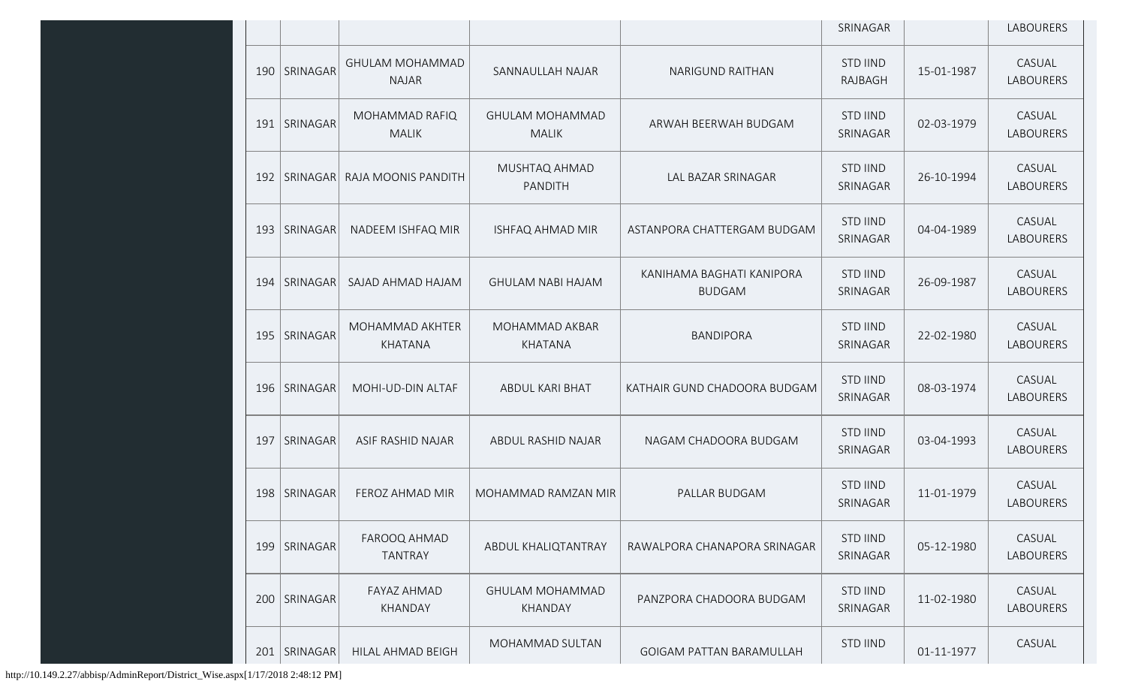|     |                 |                                   |                                        |                                              | SRINAGAR                                 |            | <b>LABOURERS</b>           |
|-----|-----------------|-----------------------------------|----------------------------------------|----------------------------------------------|------------------------------------------|------------|----------------------------|
|     | 190 SRINAGAR    | GHULAM MOHAMMAD<br><b>NAJAR</b>   | SANNAULLAH NAJAR                       | NARIGUND RAITHAN                             | <b>STD IIND</b><br>15-01-1987<br>RAJBAGH |            | CASUAL<br><b>LABOURERS</b> |
| 191 | SRINAGAR        | MOHAMMAD RAFIQ<br><b>MALIK</b>    | <b>GHULAM MOHAMMAD</b><br><b>MALIK</b> | ARWAH BEERWAH BUDGAM                         | <b>STD IIND</b><br>SRINAGAR              | 02-03-1979 | CASUAL<br><b>LABOURERS</b> |
| 192 | SRINAGAR        | RAJA MOONIS PANDITH               | MUSHTAQ AHMAD<br><b>PANDITH</b>        | LAL BAZAR SRINAGAR                           | <b>STD IIND</b><br>SRINAGAR              | 26-10-1994 | CASUAL<br><b>LABOURERS</b> |
| 193 | SRINAGAR        | NADEEM ISHFAQ MIR                 | ISHFAQ AHMAD MIR                       | ASTANPORA CHATTERGAM BUDGAM                  | <b>STD IIND</b><br>SRINAGAR              | 04-04-1989 | CASUAL<br><b>LABOURERS</b> |
| 194 | <b>SRINAGAR</b> | SAJAD AHMAD HAJAM                 | <b>GHULAM NABI HAJAM</b>               | KANIHAMA BAGHATI KANIPORA<br><b>BUDGAM</b>   | <b>STD IIND</b><br>SRINAGAR              | 26-09-1987 | CASUAL<br><b>LABOURERS</b> |
| 195 | SRINAGAR        | <b>MOHAMMAD AKHTER</b><br>KHATANA | MOHAMMAD AKBAR<br><b>KHATANA</b>       | <b>BANDIPORA</b>                             | <b>STD IIND</b><br>SRINAGAR              | 22-02-1980 | CASUAL<br><b>LABOURERS</b> |
|     | 196   SRINAGAR  | MOHI-UD-DIN ALTAF                 | ABDUL KARI BHAT                        | KATHAIR GUND CHADOORA BUDGAM                 | <b>STD IIND</b><br>SRINAGAR              | 08-03-1974 | CASUAL<br><b>LABOURERS</b> |
| 197 | <b>SRINAGAR</b> | ASIF RASHID NAJAR                 | ABDUL RASHID NAJAR                     | NAGAM CHADOORA BUDGAM                        | <b>STD IIND</b><br>SRINAGAR              | 03-04-1993 | CASUAL<br><b>LABOURERS</b> |
|     | 198   SRINAGAR  | FEROZ AHMAD MIR                   | MOHAMMAD RAMZAN MIR                    | <b>STD IIND</b><br>PALLAR BUDGAM<br>SRINAGAR |                                          | 11-01-1979 | CASUAL<br><b>LABOURERS</b> |
| 199 | SRINAGAR        | FAROOQ AHMAD<br><b>TANTRAY</b>    | ABDUL KHALIQTANTRAY                    | RAWALPORA CHANAPORA SRINAGAR                 | <b>STD IIND</b><br>SRINAGAR              | 05-12-1980 | CASUAL<br>LABOURERS        |
| 200 | SRINAGAR        | FAYAZ AHMAD<br>KHANDAY            | <b>GHULAM MOHAMMAD</b><br>KHANDAY      | PANZPORA CHADOORA BUDGAM                     | <b>STD IIND</b><br>SRINAGAR              | 11-02-1980 | CASUAL<br><b>LABOURERS</b> |
| 201 | SRINAGAR        | HILAL AHMAD BEIGH                 | MOHAMMAD SULTAN                        | <b>GOIGAM PATTAN BARAMULLAH</b>              | <b>STD IIND</b>                          | 01-11-1977 | CASUAL                     |